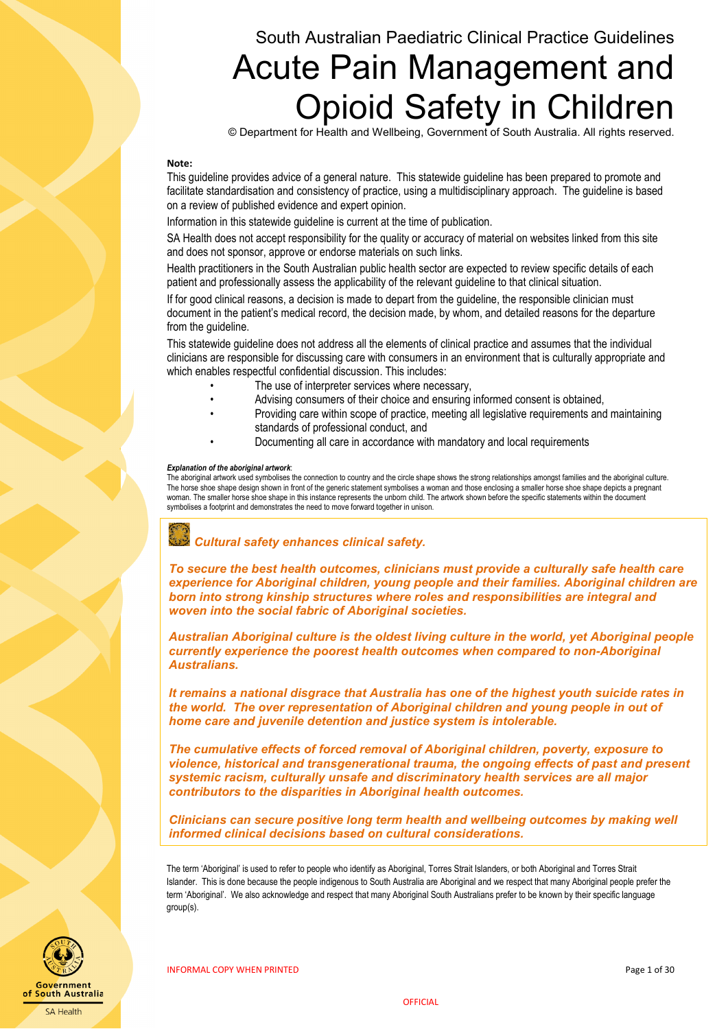# South Australian Paediatric Clinical Practice Guidelines Acute Pain Management and Opioid Safety in Children

© Department for Health and Wellbeing, Government of South Australia. All rights reserved.

#### **Note:**

This guideline provides advice of a general nature. This statewide guideline has been prepared to promote and facilitate standardisation and consistency of practice, using a multidisciplinary approach. The guideline is based on a review of published evidence and expert opinion.

Information in this statewide guideline is current at the time of publication.

SA Health does not accept responsibility for the quality or accuracy of material on websites linked from this site and does not sponsor, approve or endorse materials on such links.

Health practitioners in the South Australian public health sector are expected to review specific details of each patient and professionally assess the applicability of the relevant guideline to that clinical situation.

If for good clinical reasons, a decision is made to depart from the guideline, the responsible clinician must document in the patient's medical record, the decision made, by whom, and detailed reasons for the departure from the guideline.

This statewide guideline does not address all the elements of clinical practice and assumes that the individual clinicians are responsible for discussing care with consumers in an environment that is culturally appropriate and which enables respectful confidential discussion. This includes:

- The use of interpreter services where necessary,
- Advising consumers of their choice and ensuring informed consent is obtained,
- Providing care within scope of practice, meeting all legislative requirements and maintaining standards of professional conduct, and
- Documenting all care in accordance with mandatory and local requirements

#### *Explanation of the aboriginal artwork*:

The aboriginal artwork used symbolises the connection to country and the circle shape shows the strong relationships amongst families and the aboriginal culture. The horse shoe shape design shown in front of the generic statement symbolises a woman and those enclosing a smaller horse shoe shape depicts a pregnant woman. The smaller horse shoe shape in this instance represents the unborn child. The artwork shown before the specific statements within the document symbolises a footprint and demonstrates the need to move forward together in unison.

# *Cultural safety enhances clinical safety.*

*To secure the best health outcomes, clinicians must provide a culturally safe health care experience for Aboriginal children, young people and their families. Aboriginal children are born into strong kinship structures where roles and responsibilities are integral and woven into the social fabric of Aboriginal societies.*

*Australian Aboriginal culture is the oldest living culture in the world, yet Aboriginal people currently experience the poorest health outcomes when compared to non-Aboriginal Australians.*

*It remains a national disgrace that Australia has one of the highest youth suicide rates in the world. The over representation of Aboriginal children and young people in out of home care and juvenile detention and justice system is intolerable.*

*The cumulative effects of forced removal of Aboriginal children, poverty, exposure to violence, historical and transgenerational trauma, the ongoing effects of past and present systemic racism, culturally unsafe and discriminatory health services are all major contributors to the disparities in Aboriginal health outcomes.*

*Clinicians can secure positive long term health and wellbeing outcomes by making well informed clinical decisions based on cultural considerations.*

The term 'Aboriginal' is used to refer to people who identify as Aboriginal, Torres Strait Islanders, or both Aboriginal and Torres Strait Islander. This is done because the people indigenous to South Australia are Aboriginal and we respect that many Aboriginal people prefer the term 'Aboriginal'. We also acknowledge and respect that many Aboriginal South Australians prefer to be known by their specific language group(s).

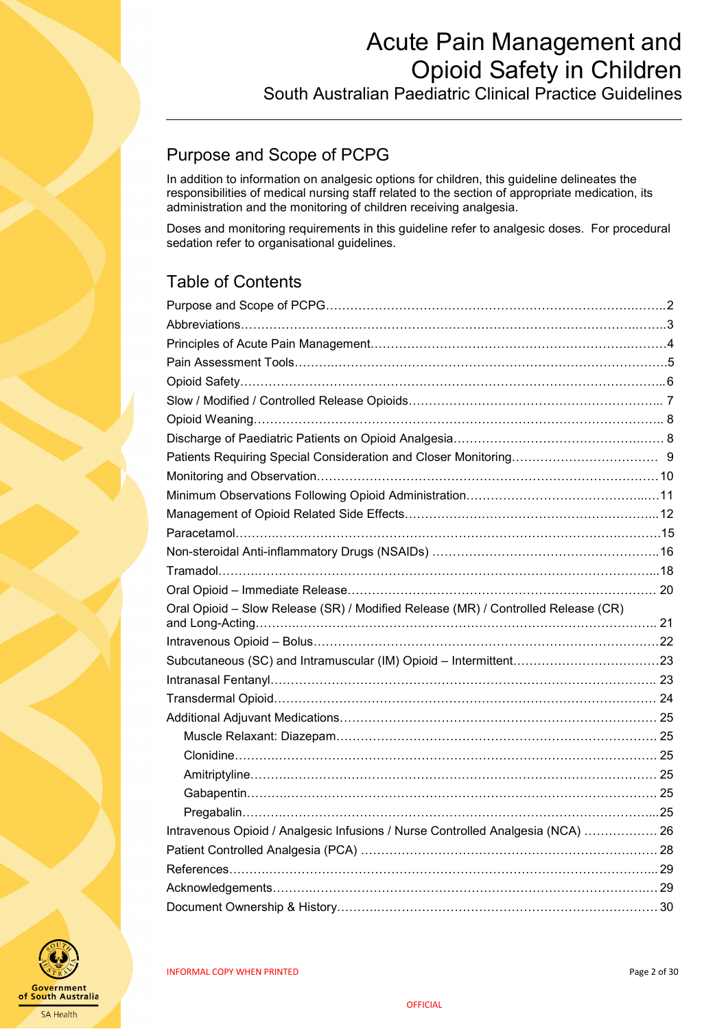South Australian Paediatric Clinical Practice Guidelines

## <span id="page-1-0"></span>Purpose and Scope of PCPG

In addition to information on analgesic options for children, this guideline delineates the responsibilities of medical nursing staff related to the section of appropriate medication, its administration and the monitoring of children receiving analgesia.

Doses and monitoring requirements in this guideline refer to analgesic doses. For procedural sedation refer to organisational guidelines.

## Table of Contents

| Oral Opioid - Slow Release (SR) / Modified Release (MR) / Controlled Release (CR) |  |
|-----------------------------------------------------------------------------------|--|
|                                                                                   |  |
|                                                                                   |  |
|                                                                                   |  |
|                                                                                   |  |
|                                                                                   |  |
|                                                                                   |  |
|                                                                                   |  |
|                                                                                   |  |
|                                                                                   |  |
|                                                                                   |  |
|                                                                                   |  |
| Intravenous Opioid / Analgesic Infusions / Nurse Controlled Analgesia (NCA)  26   |  |
|                                                                                   |  |
|                                                                                   |  |
|                                                                                   |  |
|                                                                                   |  |

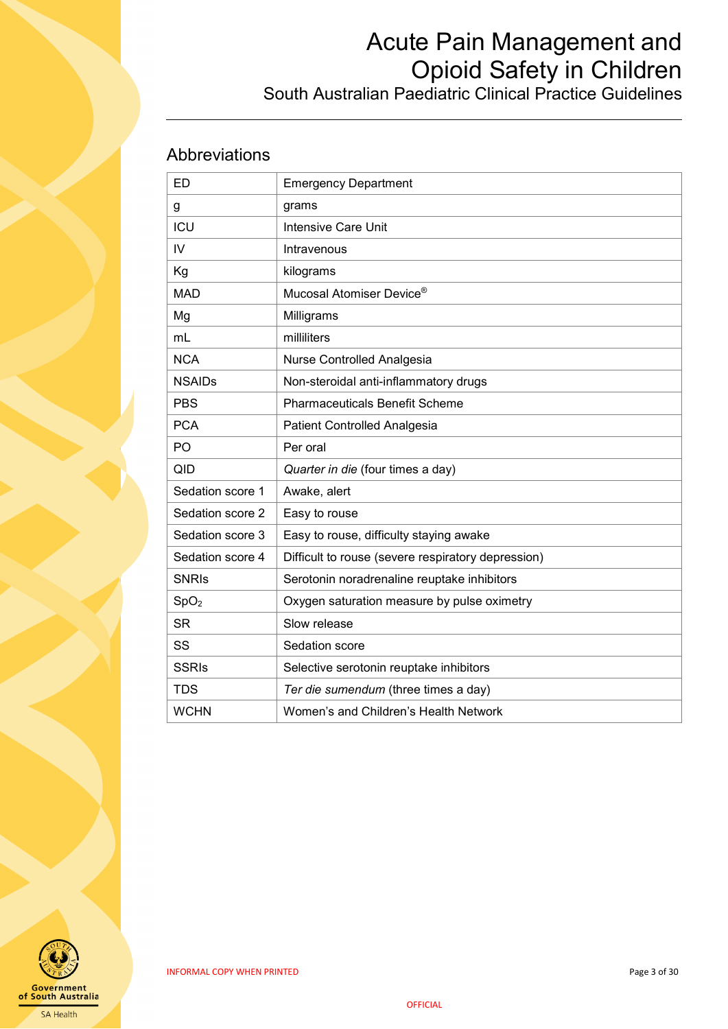## South Australian Paediatric Clinical Practice Guidelines

## <span id="page-2-0"></span>Abbreviations

| <b>ED</b>        | <b>Emergency Department</b>                        |
|------------------|----------------------------------------------------|
| g                | grams                                              |
| ICU              | <b>Intensive Care Unit</b>                         |
| IV               | Intravenous                                        |
| Kg               | kilograms                                          |
| <b>MAD</b>       | Mucosal Atomiser Device®                           |
| Mg               | Milligrams                                         |
| mL               | milliliters                                        |
| <b>NCA</b>       | Nurse Controlled Analgesia                         |
| <b>NSAIDs</b>    | Non-steroidal anti-inflammatory drugs              |
| <b>PBS</b>       | <b>Pharmaceuticals Benefit Scheme</b>              |
| <b>PCA</b>       | Patient Controlled Analgesia                       |
| PO               | Per oral                                           |
| QID              | Quarter in die (four times a day)                  |
| Sedation score 1 | Awake, alert                                       |
| Sedation score 2 | Easy to rouse                                      |
| Sedation score 3 | Easy to rouse, difficulty staying awake            |
| Sedation score 4 | Difficult to rouse (severe respiratory depression) |
| <b>SNRIs</b>     | Serotonin noradrenaline reuptake inhibitors        |
| SpO <sub>2</sub> | Oxygen saturation measure by pulse oximetry        |
| <b>SR</b>        | Slow release                                       |
| SS               | Sedation score                                     |
| <b>SSRIs</b>     | Selective serotonin reuptake inhibitors            |
| <b>TDS</b>       | Ter die sumendum (three times a day)               |
| <b>WCHN</b>      | Women's and Children's Health Network              |

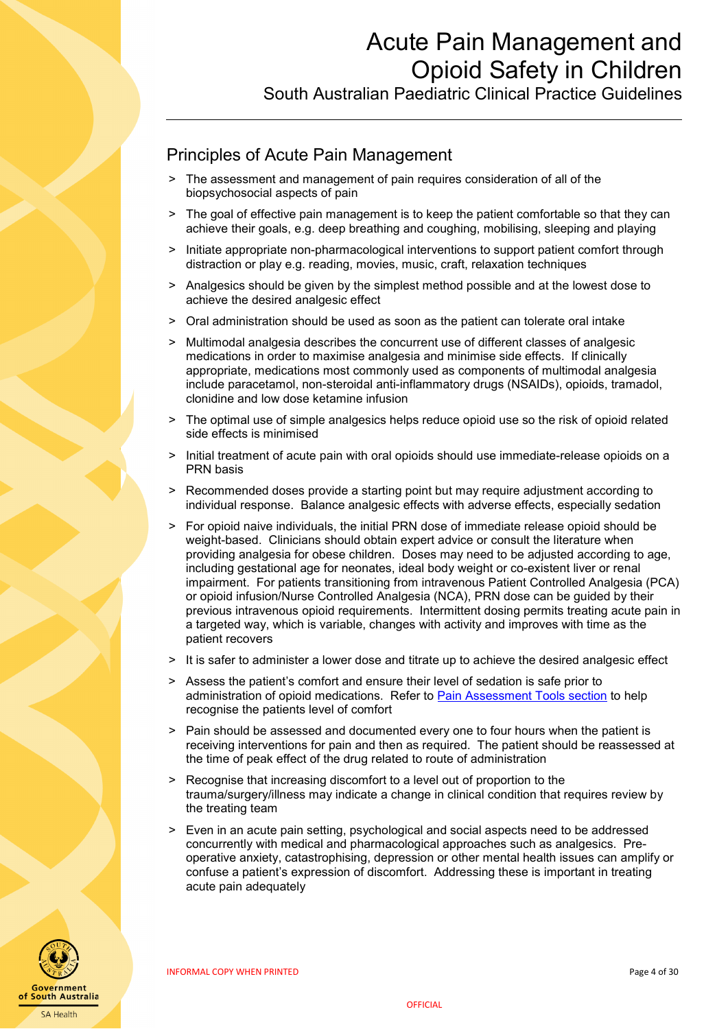South Australian Paediatric Clinical Practice Guidelines

## <span id="page-3-0"></span>Principles of Acute Pain Management

- The assessment and management of pain requires consideration of all of the biopsychosocial aspects of pain
- > The goal of effective pain management is to keep the patient comfortable so that they can achieve their goals, e.g. deep breathing and coughing, mobilising, sleeping and playing
- ˃ Initiate appropriate non-pharmacological interventions to support patient comfort through distraction or play e.g. reading, movies, music, craft, relaxation techniques
- > Analgesics should be given by the simplest method possible and at the lowest dose to achieve the desired analgesic effect
- ˃ Oral administration should be used as soon as the patient can tolerate oral intake
- ˃ Multimodal analgesia describes the concurrent use of different classes of analgesic medications in order to maximise analgesia and minimise side effects. If clinically appropriate, medications most commonly used as components of multimodal analgesia include paracetamol, non-steroidal anti-inflammatory drugs (NSAIDs), opioids, tramadol, clonidine and low dose ketamine infusion
- > The optimal use of simple analgesics helps reduce opioid use so the risk of opioid related side effects is minimised
- Initial treatment of acute pain with oral opioids should use immediate-release opioids on a PRN basis
- Recommended doses provide a starting point but may require adjustment according to individual response. Balance analgesic effects with adverse effects, especially sedation
- ˃ For opioid naive individuals, the initial PRN dose of immediate release opioid should be weight-based. Clinicians should obtain expert advice or consult the literature when providing analgesia for obese children. Doses may need to be adjusted according to age, including gestational age for neonates, ideal body weight or co-existent liver or renal impairment. For patients transitioning from intravenous Patient Controlled Analgesia (PCA) or opioid infusion/Nurse Controlled Analgesia (NCA), PRN dose can be guided by their previous intravenous opioid requirements. Intermittent dosing permits treating acute pain in a targeted way, which is variable, changes with activity and improves with time as the patient recovers
- It is safer to administer a lower dose and titrate up to achieve the desired analgesic effect
- ˃ Assess the patient's comfort and ensure their level of sedation is safe prior to administration of opioid medications. Refer to [Pain Assessment Tools](#page-4-0) section to help recognise the patients level of comfort
- > Pain should be assessed and documented every one to four hours when the patient is receiving interventions for pain and then as required. The patient should be reassessed at the time of peak effect of the drug related to route of administration
- Recognise that increasing discomfort to a level out of proportion to the trauma/surgery/illness may indicate a change in clinical condition that requires review by the treating team
- ˃ Even in an acute pain setting, psychological and social aspects need to be addressed concurrently with medical and pharmacological approaches such as analgesics. Preoperative anxiety, catastrophising, depression or other mental health issues can amplify or confuse a patient's expression of discomfort. Addressing these is important in treating acute pain adequately

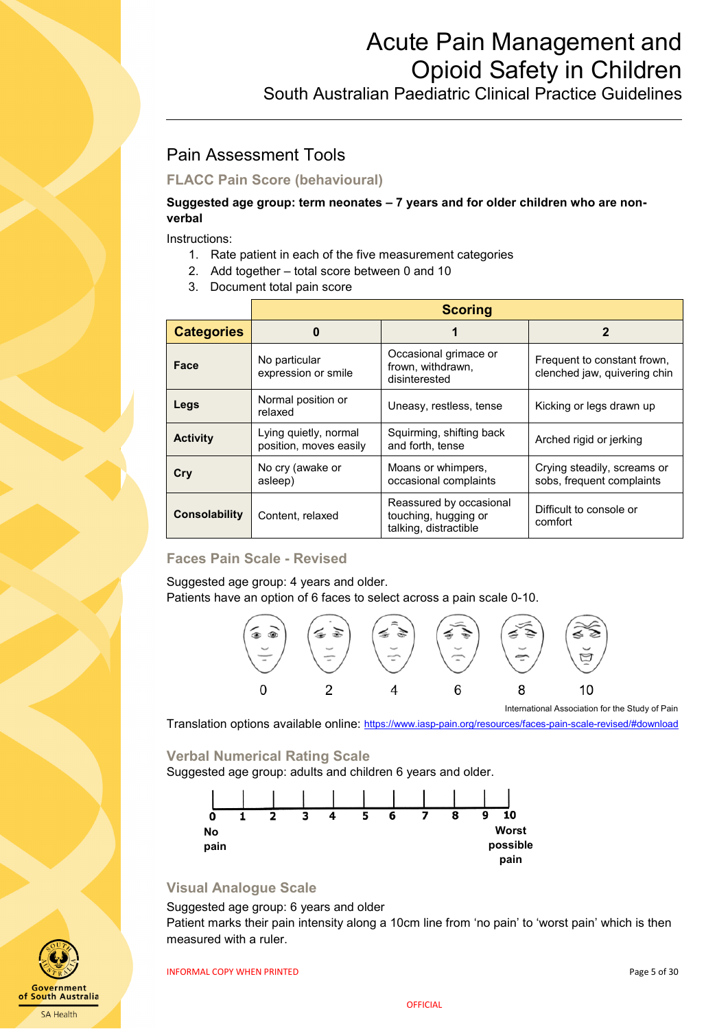South Australian Paediatric Clinical Practice Guidelines

## <span id="page-4-0"></span>Pain Assessment Tools

### **FLACC Pain Score (behavioural)**

#### **Suggested age group: term neonates – 7 years and for older children who are nonverbal**

Instructions:

- 1. Rate patient in each of the five measurement categories
- 2. Add together total score between 0 and 10
- 3. Document total pain score

|                      | <b>Scoring</b>                                  |                                                                          |                                                             |  |
|----------------------|-------------------------------------------------|--------------------------------------------------------------------------|-------------------------------------------------------------|--|
| <b>Categories</b>    | 0                                               |                                                                          | 2                                                           |  |
| Face                 | No particular<br>expression or smile            | Occasional grimace or<br>frown, withdrawn,<br>disinterested              | Frequent to constant frown,<br>clenched jaw, quivering chin |  |
| Legs                 | Normal position or<br>relaxed                   | Uneasy, restless, tense                                                  | Kicking or legs drawn up                                    |  |
| <b>Activity</b>      | Lying quietly, normal<br>position, moves easily | Squirming, shifting back<br>and forth, tense                             | Arched rigid or jerking                                     |  |
| Cry                  | No cry (awake or<br>asleep)                     | Moans or whimpers,<br>occasional complaints                              | Crying steadily, screams or<br>sobs, frequent complaints    |  |
| <b>Consolability</b> | Content, relaxed                                | Reassured by occasional<br>touching, hugging or<br>talking, distractible | Difficult to console or<br>comfort                          |  |

### **Faces Pain Scale - Revised**

Suggested age group: 4 years and older. Patients have an option of 6 faces to select across a pain scale 0-10.



International Association for the Study of Pain

Translation options available online:<https://www.iasp-pain.org/resources/faces-pain-scale-revised/#download>

#### **Verbal Numerical Rating Scale**

Suggested age group: adults and children 6 years and older.



#### **Visual Analogue Scale**

#### Suggested age group: 6 years and older

Patient marks their pain intensity along a 10cm line from 'no pain' to 'worst pain' which is then measured with a ruler.

INFORMAL COPY WHEN PRINTED **Example 20 and 20 and 20 and 20 and 20 and 20 and 20 and 20 and 20 and 20 and 20 and 20 and 20 and 20 and 20 and 20 and 20 and 20 and 20 and 20 and 20 and 20 and 20 and 20 and 20 and 20 and 20 a** 



**OFFICIAL**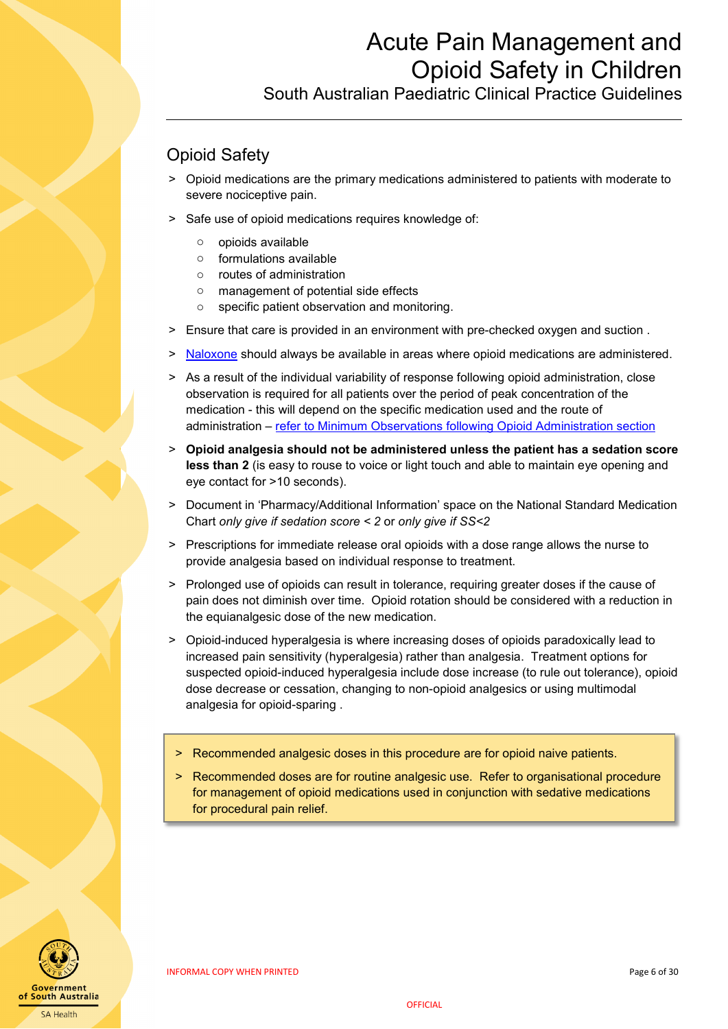South Australian Paediatric Clinical Practice Guidelines

## <span id="page-5-0"></span>Opioid Safety

- ˃ Opioid medications are the primary medications administered to patients with moderate to severe nociceptive pain.
- > Safe use of opioid medications requires knowledge of:
	- o opioids available
	- o formulations available
	- o routes of administration
	- o management of potential side effects
	- o specific patient observation and monitoring.
- ˃ Ensure that care is provided in an environment with pre-checked oxygen and suction .
- > [Naloxone](#page-13-0) should always be available in areas where opioid medications are administered.
- > As a result of the individual variability of response following opioid administration, close observation is required for all patients over the period of peak concentration of the medication - this will depend on the specific medication used and the route of administration – [refer to Minimum Observations following Opioid Administration section](#page-9-1)
- ˃ **Opioid analgesia should not be administered unless the patient has a sedation score less than 2** (is easy to rouse to voice or light touch and able to maintain eye opening and eye contact for >10 seconds).
- > Document in 'Pharmacy/Additional Information' space on the National Standard Medication Chart *only give if sedation score < 2* or *only give if SS<2*
- ˃ Prescriptions for immediate release oral opioids with a dose range allows the nurse to provide analgesia based on individual response to treatment.
- > Prolonged use of opioids can result in tolerance, requiring greater doses if the cause of pain does not diminish over time. Opioid rotation should be considered with a reduction in the equianalgesic dose of the new medication.
- ˃ Opioid-induced hyperalgesia is where increasing doses of opioids paradoxically lead to increased pain sensitivity (hyperalgesia) rather than analgesia. Treatment options for suspected opioid-induced hyperalgesia include dose increase (to rule out tolerance), opioid dose decrease or cessation, changing to non-opioid analgesics or using multimodal analgesia for opioid-sparing .
- > Recommended analgesic doses in this procedure are for opioid naive patients.
- > Recommended doses are for routine analgesic use. Refer to organisational procedure for management of opioid medications used in conjunction with sedative medications for procedural pain relief.

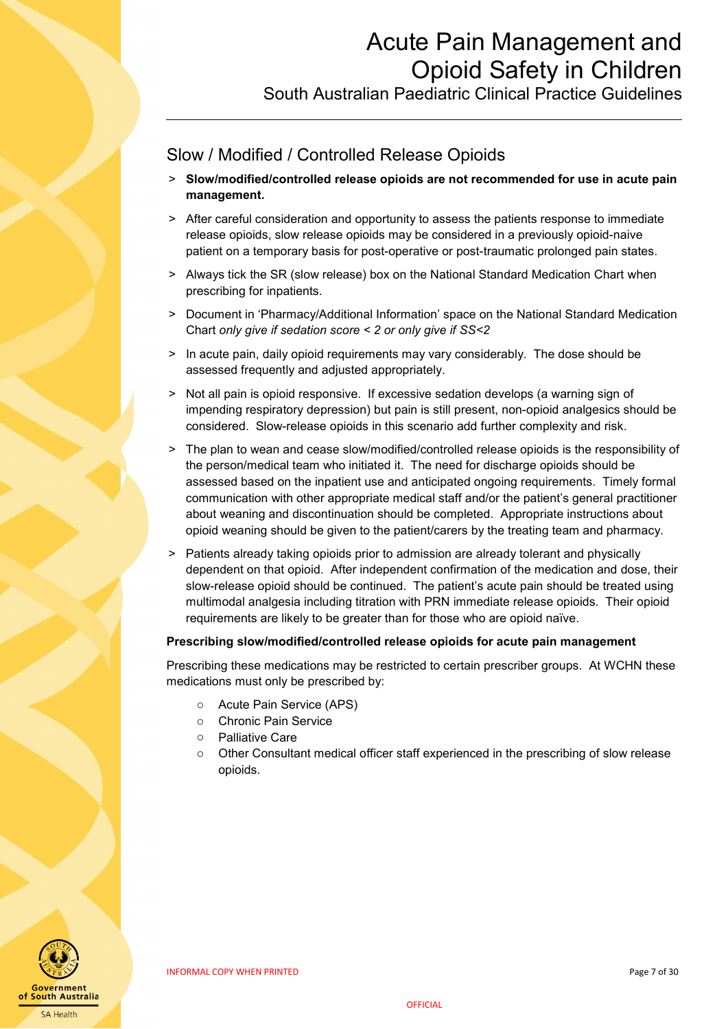South Australian Paediatric Clinical Practice Guidelines

## <span id="page-6-0"></span>Slow / Modified / Controlled Release Opioids

- ˃ **Slow/modified/controlled release opioids are not recommended for use in acute pain management.**
- > After careful consideration and opportunity to assess the patients response to immediate release opioids, slow release opioids may be considered in a previously opioid-naive patient on a temporary basis for post-operative or post-traumatic prolonged pain states.
- > Always tick the SR (slow release) box on the National Standard Medication Chart when prescribing for inpatients.
- > Document in 'Pharmacy/Additional Information' space on the National Standard Medication Chart *only give if sedation score < 2 or only give if SS<2*
- > In acute pain, daily opioid requirements may vary considerably. The dose should be assessed frequently and adjusted appropriately.
- > Not all pain is opioid responsive. If excessive sedation develops (a warning sign of impending respiratory depression) but pain is still present, non-opioid analgesics should be considered. Slow-release opioids in this scenario add further complexity and risk.
- ˃ The plan to wean and cease slow/modified/controlled release opioids is the responsibility of the person/medical team who initiated it. The need for discharge opioids should be assessed based on the inpatient use and anticipated ongoing requirements. Timely formal communication with other appropriate medical staff and/or the patient's general practitioner about weaning and discontinuation should be completed. Appropriate instructions about opioid weaning should be given to the patient/carers by the treating team and pharmacy.
- > Patients already taking opioids prior to admission are already tolerant and physically dependent on that opioid. After independent confirmation of the medication and dose, their slow-release opioid should be continued. The patient's acute pain should be treated using multimodal analgesia including titration with PRN immediate release opioids. Their opioid requirements are likely to be greater than for those who are opioid naïve.

### **Prescribing slow/modified/controlled release opioids for acute pain management**

Prescribing these medications may be restricted to certain prescriber groups. At WCHN these medications must only be prescribed by:

- o Acute Pain Service (APS)
- o Chronic Pain Service
- o Palliative Care
- o Other Consultant medical officer staff experienced in the prescribing of slow release opioids.

<span id="page-6-1"></span>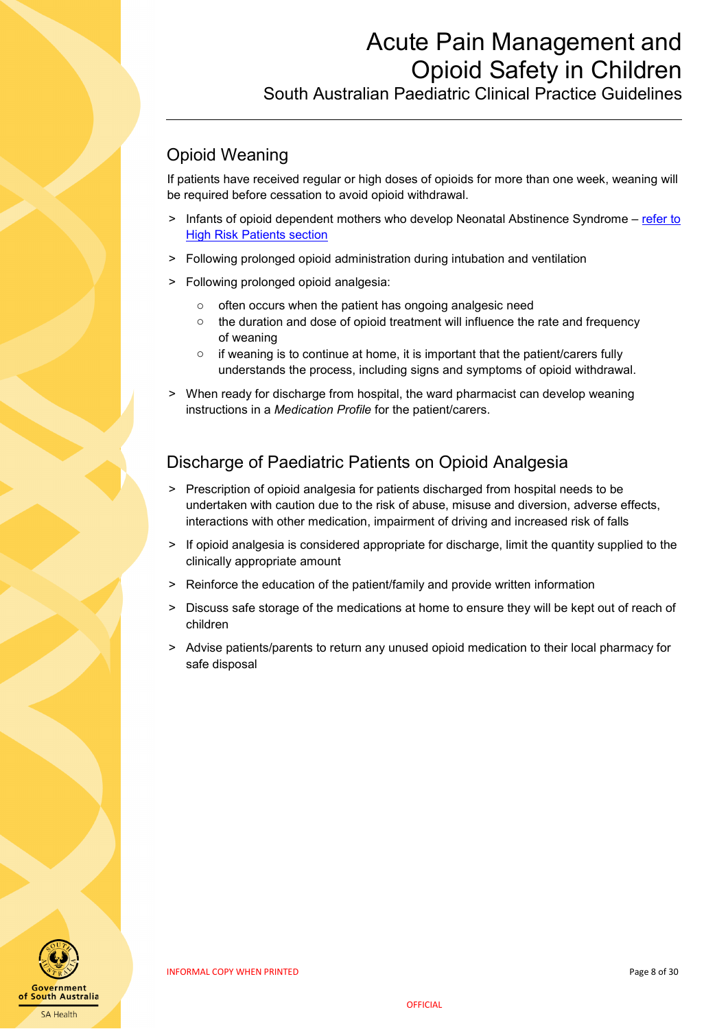South Australian Paediatric Clinical Practice Guidelines

## Opioid Weaning

If patients have received regular or high doses of opioids for more than one week, weaning will be required before cessation to avoid opioid withdrawal.

- Infants of opioid dependent mothers who develop Neonatal Abstinence Syndrome refer to [High Risk Patients section](#page-8-1)
- > Following prolonged opioid administration during intubation and ventilation
- ˃ Following prolonged opioid analgesia:
	- o often occurs when the patient has ongoing analgesic need
	- $\circ$  the duration and dose of opioid treatment will influence the rate and frequency of weaning
	- o if weaning is to continue at home, it is important that the patient/carers fully understands the process, including signs and symptoms of opioid withdrawal.
- > When ready for discharge from hospital, the ward pharmacist can develop weaning instructions in a *Medication Profile* for the patient/carers.

### <span id="page-7-0"></span>Discharge of Paediatric Patients on Opioid Analgesia

- ˃ Prescription of opioid analgesia for patients discharged from hospital needs to be undertaken with caution due to the risk of abuse, misuse and diversion, adverse effects, interactions with other medication, impairment of driving and increased risk of falls
- ˃ If opioid analgesia is considered appropriate for discharge, limit the quantity supplied to the clinically appropriate amount
- > Reinforce the education of the patient/family and provide written information
- > Discuss safe storage of the medications at home to ensure they will be kept out of reach of children
- Advise patients/parents to return any unused opioid medication to their local pharmacy for safe disposal

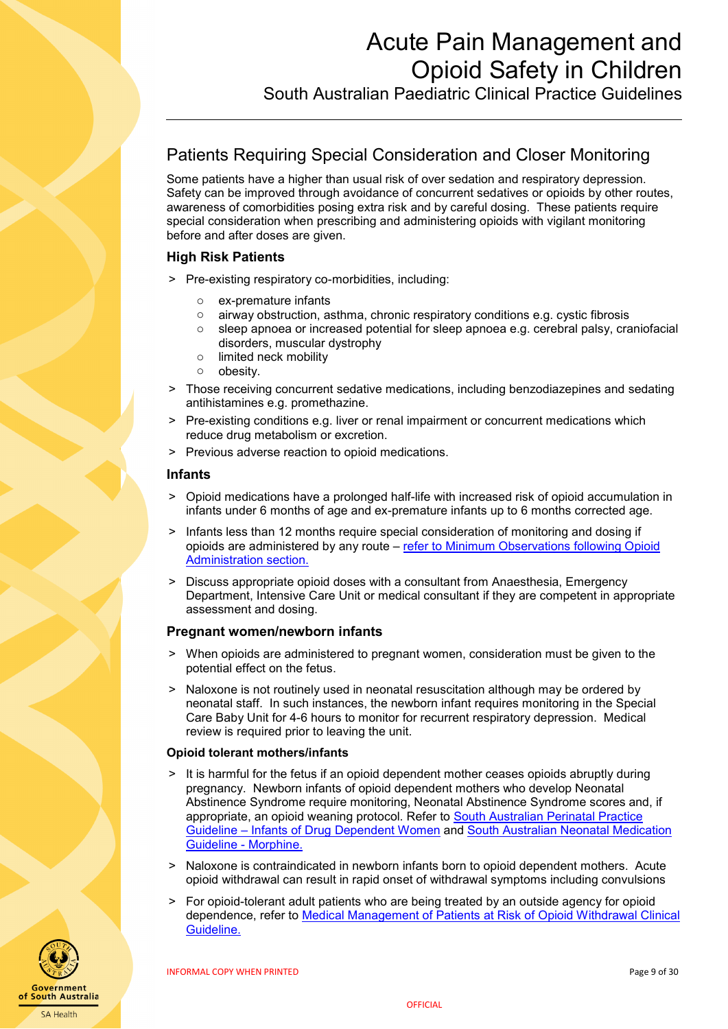South Australian Paediatric Clinical Practice Guidelines

## <span id="page-8-0"></span>Patients Requiring Special Consideration and Closer Monitoring

Some patients have a higher than usual risk of over sedation and respiratory depression. Safety can be improved through avoidance of concurrent sedatives or opioids by other routes, awareness of comorbidities posing extra risk and by careful dosing. These patients require special consideration when prescribing and administering opioids with vigilant monitoring before and after doses are given.

#### <span id="page-8-1"></span>**High Risk Patients**

- > Pre-existing respiratory co-morbidities, including:
	-
	- $\circ$  ex-premature infants<br> $\circ$  airway obstruction. as airway obstruction, asthma, chronic respiratory conditions e.g. cystic fibrosis
	- o sleep apnoea or increased potential for sleep apnoea e.g. cerebral palsy, craniofacial disorders, muscular dystrophy
	- o limited neck mobility
	- o obesity.
- > Those receiving concurrent sedative medications, including benzodiazepines and sedating antihistamines e.g. promethazine.
- > Pre-existing conditions e.g. liver or renal impairment or concurrent medications which reduce drug metabolism or excretion.
- ˃ Previous adverse reaction to opioid medications.

#### **Infants**

- ˃ Opioid medications have a prolonged half-life with increased risk of opioid accumulation in infants under 6 months of age and ex-premature infants up to 6 months corrected age.
- Infants less than 12 months require special consideration of monitoring and dosing if opioids are administered by any route – [refer to Minimum Observations following Opioid](#page-9-1)  [Administration section.](#page-9-1)
- > Discuss appropriate opioid doses with a consultant from Anaesthesia, Emergency Department, Intensive Care Unit or medical consultant if they are competent in appropriate assessment and dosing.

#### **Pregnant women/newborn infants**

- > When opioids are administered to pregnant women, consideration must be given to the potential effect on the fetus.
- > Naloxone is not routinely used in neonatal resuscitation although may be ordered by neonatal staff. In such instances, the newborn infant requires monitoring in the Special Care Baby Unit for 4-6 hours to monitor for recurrent respiratory depression. Medical review is required prior to leaving the unit.

#### **Opioid tolerant mothers/infants**

- > It is harmful for the fetus if an opioid dependent mother ceases opioids abruptly during pregnancy. Newborn infants of opioid dependent mothers who develop Neonatal Abstinence Syndrome require monitoring, Neonatal Abstinence Syndrome scores and, if appropriate, an opioid weaning protocol. Refer to [South Australian Perinatal Practice](http://www.sahealth.sa.gov.au/wps/wcm/connect/public+content/sa+health+internet/clinical+resources/clinical+topics/perinatal/perinatal+practice+guidelines)  Guideline – [Infants of Drug Dependent Women](http://www.sahealth.sa.gov.au/wps/wcm/connect/public+content/sa+health+internet/clinical+resources/clinical+topics/perinatal/perinatal+practice+guidelines) and [South Australian Neonatal Medication](http://www.sahealth.sa.gov.au/wps/wcm/connect/public+content/sa+health+internet/clinical+resources/clinical+topics/neonatal+medication+guidelines)  [Guideline -](http://www.sahealth.sa.gov.au/wps/wcm/connect/public+content/sa+health+internet/clinical+resources/clinical+topics/neonatal+medication+guidelines) Morphine.
- > Naloxone is contraindicated in newborn infants born to opioid dependent mothers. Acute opioid withdrawal can result in rapid onset of withdrawal symptoms including convulsions
- > For opioid-tolerant adult patients who are being treated by an outside agency for opioid dependence, refer to [Medical Management of Patients at Risk of Opioid Withdrawal Clinical](http://inside.sahealth.sa.gov.au/wps/wcm/connect/non-public+content/sa+health+intranet/business+units/health+system+development/office+of+the+chief+executive/policies/a+-+z+directives+and+guidelines)  [Guideline.](http://inside.sahealth.sa.gov.au/wps/wcm/connect/non-public+content/sa+health+intranet/business+units/health+system+development/office+of+the+chief+executive/policies/a+-+z+directives+and+guidelines)



**SA Health** 

**OFFICIAL**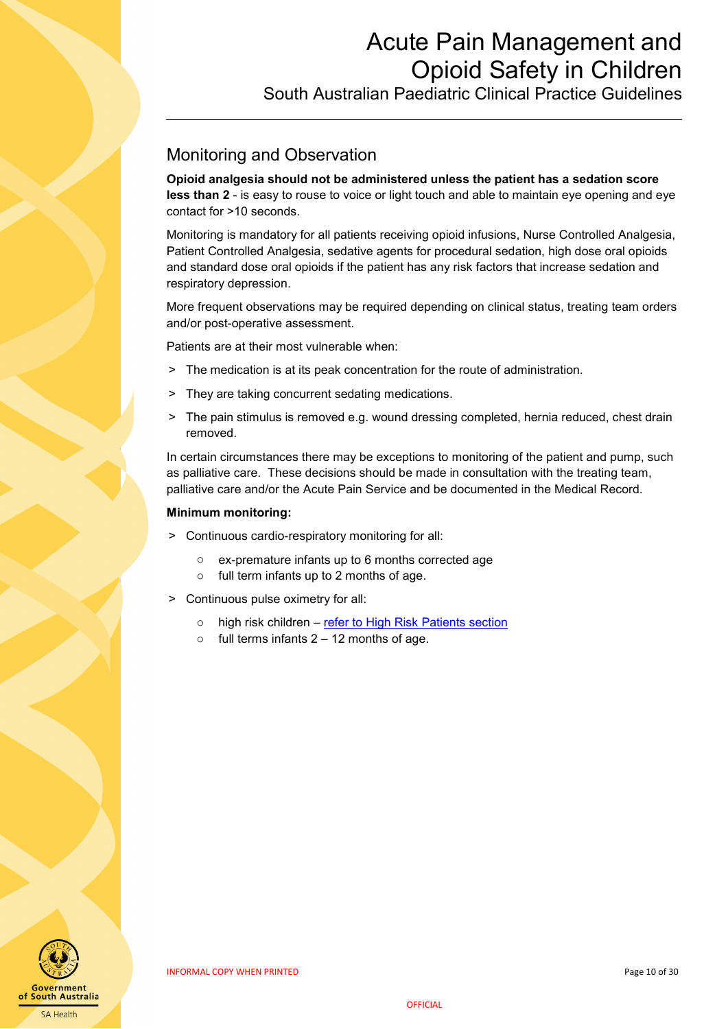South Australian Paediatric Clinical Practice Guidelines

### <span id="page-9-0"></span>Monitoring and Observation

**Opioid analgesia should not be administered unless the patient has a sedation score less than 2** - is easy to rouse to voice or light touch and able to maintain eye opening and eye contact for >10 seconds.

Monitoring is mandatory for all patients receiving opioid infusions, Nurse Controlled Analgesia, Patient Controlled Analgesia, sedative agents for procedural sedation, high dose oral opioids and standard dose oral opioids if the patient has any risk factors that increase sedation and respiratory depression.

More frequent observations may be required depending on clinical status, treating team orders and/or post-operative assessment.

Patients are at their most vulnerable when:

- ˃ The medication is at its peak concentration for the route of administration.
- > They are taking concurrent sedating medications.
- > The pain stimulus is removed e.g. wound dressing completed, hernia reduced, chest drain removed.

In certain circumstances there may be exceptions to monitoring of the patient and pump, such as palliative care. These decisions should be made in consultation with the treating team, palliative care and/or the Acute Pain Service and be documented in the Medical Record.

#### **Minimum monitoring:**

- > Continuous cardio-respiratory monitoring for all:
	- o ex-premature infants up to 6 months corrected age
	- o full term infants up to 2 months of age.
- <span id="page-9-1"></span>> Continuous pulse oximetry for all:
	- o high risk children [refer to High Risk Patients section](#page-8-1)
	- $\circ$  full terms infants 2 12 months of age.

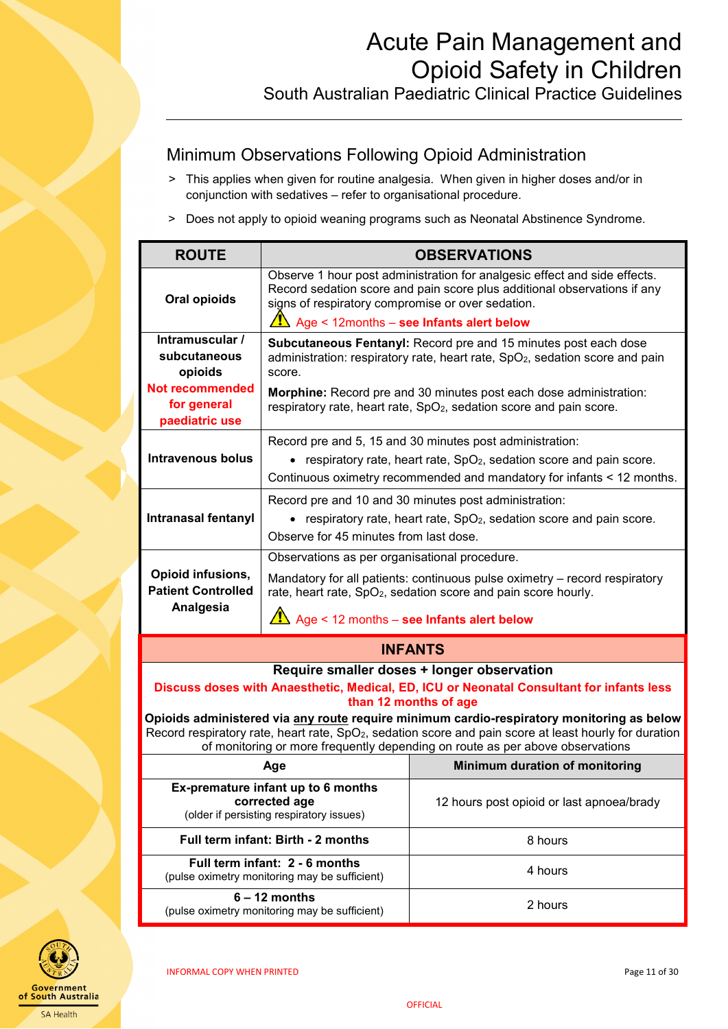### <span id="page-10-0"></span>Minimum Observations Following Opioid Administration

- > This applies when given for routine analgesia. When given in higher doses and/or in conjunction with sedatives – refer to organisational procedure.
- > Does not apply to opioid weaning programs such as Neonatal Abstinence Syndrome.

| <b>ROUTE</b>                                                                                                                                                    |                                                                                                                                                                            | <b>OBSERVATIONS</b>                                                                                                                                                                                                                                                                              |  |
|-----------------------------------------------------------------------------------------------------------------------------------------------------------------|----------------------------------------------------------------------------------------------------------------------------------------------------------------------------|--------------------------------------------------------------------------------------------------------------------------------------------------------------------------------------------------------------------------------------------------------------------------------------------------|--|
| Oral opioids                                                                                                                                                    | signs of respiratory compromise or over sedation.                                                                                                                          | Observe 1 hour post administration for analgesic effect and side effects.<br>Record sedation score and pain score plus additional observations if any                                                                                                                                            |  |
|                                                                                                                                                                 | $\sqrt{\frac{1}{2}}$ Age < 12months – see Infants alert below                                                                                                              |                                                                                                                                                                                                                                                                                                  |  |
| Intramuscular /<br>subcutaneous<br>opioids                                                                                                                      | score.                                                                                                                                                                     | Subcutaneous Fentanyl: Record pre and 15 minutes post each dose<br>administration: respiratory rate, heart rate, SpO <sub>2</sub> , sedation score and pain                                                                                                                                      |  |
| Not recommended<br>for general<br>paediatric use                                                                                                                |                                                                                                                                                                            | Morphine: Record pre and 30 minutes post each dose administration:<br>respiratory rate, heart rate, SpO <sub>2</sub> , sedation score and pain score.                                                                                                                                            |  |
|                                                                                                                                                                 |                                                                                                                                                                            | Record pre and 5, 15 and 30 minutes post administration:                                                                                                                                                                                                                                         |  |
| <b>Intravenous bolus</b>                                                                                                                                        |                                                                                                                                                                            | • respiratory rate, heart rate, $SpO2$ , sedation score and pain score.<br>Continuous oximetry recommended and mandatory for infants < 12 months.                                                                                                                                                |  |
| <b>Intranasal fentanyl</b>                                                                                                                                      | Record pre and 10 and 30 minutes post administration:<br>• respiratory rate, heart rate, $SpO2$ , sedation score and pain score.<br>Observe for 45 minutes from last dose. |                                                                                                                                                                                                                                                                                                  |  |
| Observations as per organisational procedure.                                                                                                                   |                                                                                                                                                                            |                                                                                                                                                                                                                                                                                                  |  |
| Opioid infusions,<br><b>Patient Controlled</b>                                                                                                                  | Mandatory for all patients: continuous pulse oximetry – record respiratory<br>rate, heart rate, SpO <sub>2</sub> , sedation score and pain score hourly.                   |                                                                                                                                                                                                                                                                                                  |  |
| Analgesia                                                                                                                                                       | $\hat{A}$ Age < 12 months – see Infants alert below                                                                                                                        |                                                                                                                                                                                                                                                                                                  |  |
| <b>INFANTS</b>                                                                                                                                                  |                                                                                                                                                                            |                                                                                                                                                                                                                                                                                                  |  |
| Require smaller doses + longer observation<br>Discuss doses with Anaesthetic, Medical, ED, ICU or Neonatal Consultant for infants less<br>than 12 months of age |                                                                                                                                                                            |                                                                                                                                                                                                                                                                                                  |  |
|                                                                                                                                                                 |                                                                                                                                                                            | Opioids administered via any route require minimum cardio-respiratory monitoring as below<br>Record respiratory rate, heart rate, SpO <sub>2</sub> , sedation score and pain score at least hourly for duration<br>of monitoring or more frequently depending on route as per above observations |  |
|                                                                                                                                                                 | Age                                                                                                                                                                        | Minimum duration of monitoring                                                                                                                                                                                                                                                                   |  |
| Ex-premature infant up to 6 months<br>corrected age<br>(older if persisting respiratory issues)                                                                 |                                                                                                                                                                            | 12 hours post opioid or last apnoea/brady                                                                                                                                                                                                                                                        |  |
|                                                                                                                                                                 | Full term infant: Birth - 2 months                                                                                                                                         | 8 hours                                                                                                                                                                                                                                                                                          |  |
|                                                                                                                                                                 | Full term infant: 2 - 6 months<br>(pulse oximetry monitoring may be sufficient)                                                                                            | 4 hours                                                                                                                                                                                                                                                                                          |  |
| $6 - 12$ months<br>(pulse oximetry monitoring may be sufficient)                                                                                                |                                                                                                                                                                            | 2 hours                                                                                                                                                                                                                                                                                          |  |

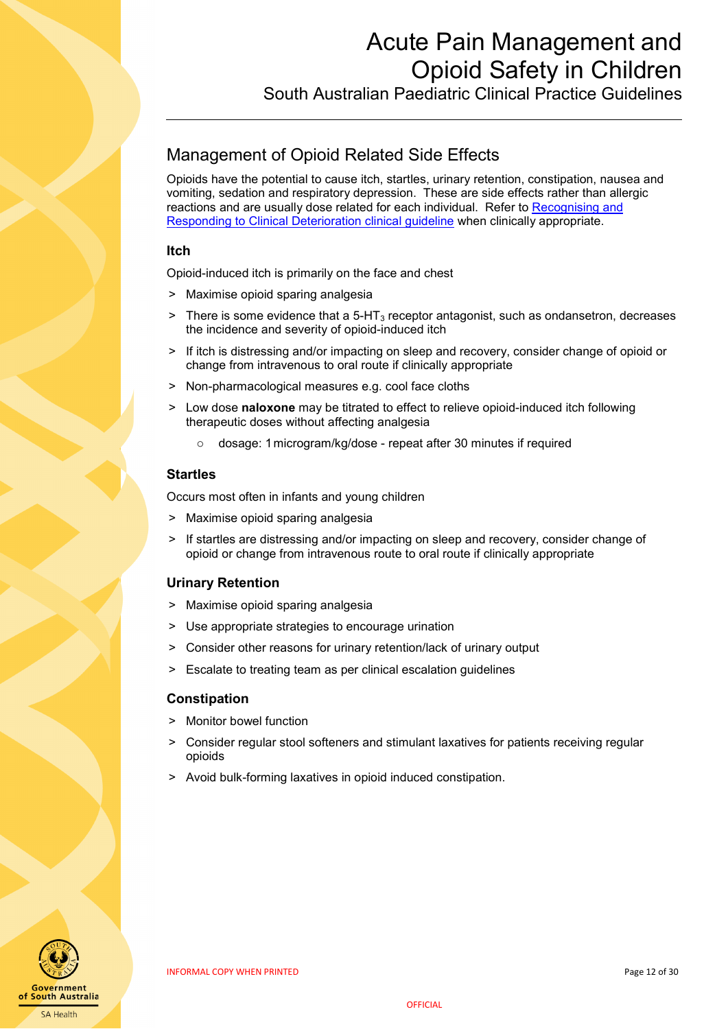South Australian Paediatric Clinical Practice Guidelines

## <span id="page-11-0"></span>Management of Opioid Related Side Effects

Opioids have the potential to cause itch, startles, urinary retention, constipation, nausea and vomiting, sedation and respiratory depression. These are side effects rather than allergic reactions and are usually dose related for each individual. Refer to [Recognising and](http://inside.sahealth.sa.gov.au/wps/wcm/connect/non-public+content/sa+health+intranet/business+units/health+system+development/office+of+the+chief+executive/policies/a+-+z+directives+and+guidelines)  [Responding to Clinical Deterioration clinical guideline](http://inside.sahealth.sa.gov.au/wps/wcm/connect/non-public+content/sa+health+intranet/business+units/health+system+development/office+of+the+chief+executive/policies/a+-+z+directives+and+guidelines) when clinically appropriate.

#### **Itch**

Opioid-induced itch is primarily on the face and chest

- > Maximise opioid sparing analgesia
- $>$  There is some evidence that a 5-HT<sub>3</sub> receptor antagonist, such as ondansetron, decreases the incidence and severity of opioid-induced itch
- > If itch is distressing and/or impacting on sleep and recovery, consider change of opioid or change from intravenous to oral route if clinically appropriate
- > Non-pharmacological measures e.g. cool face cloths
- ˃ Low dose **naloxone** may be titrated to effect to relieve opioid-induced itch following therapeutic doses without affecting analgesia
	- o dosage: 1microgram/kg/dose repeat after 30 minutes if required

#### **Startles**

Occurs most often in infants and young children

- ˃ Maximise opioid sparing analgesia
- If startles are distressing and/or impacting on sleep and recovery, consider change of opioid or change from intravenous route to oral route if clinically appropriate

### **Urinary Retention**

- > Maximise opioid sparing analgesia
- ˃ Use appropriate strategies to encourage urination
- Consider other reasons for urinary retention/lack of urinary output
- > Escalate to treating team as per clinical escalation guidelines

#### **Constipation**

- > Monitor bowel function
- Consider regular stool softeners and stimulant laxatives for patients receiving regular opioids
- Avoid bulk-forming laxatives in opioid induced constipation.

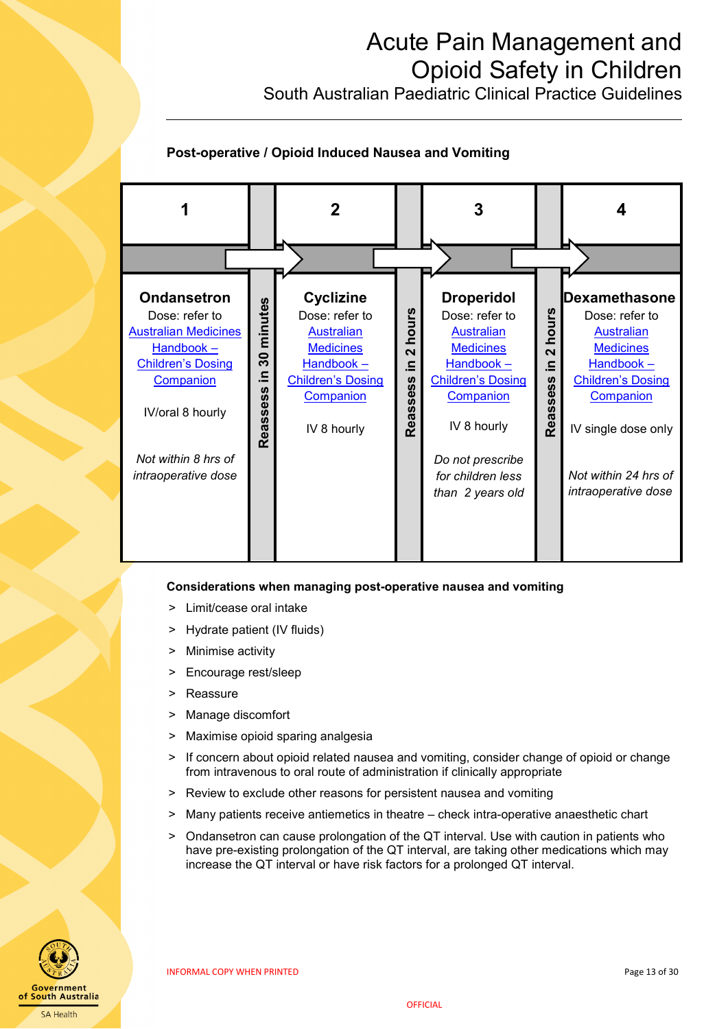South Australian Paediatric Clinical Practice Guidelines

### **Post-operative / Opioid Induced Nausea and Vomiting**



#### **Considerations when managing post-operative nausea and vomiting**

- Limit/cease oral intake
- > Hydrate patient (IV fluids)
- > Minimise activity
- > Encourage rest/sleep
- > Reassure
- > Manage discomfort
- > Maximise opioid sparing analgesia
- > If concern about opioid related nausea and vomiting, consider change of opioid or change from intravenous to oral route of administration if clinically appropriate
- > Review to exclude other reasons for persistent nausea and vomiting
- > Many patients receive antiemetics in theatre check intra-operative anaesthetic chart
- ˃ Ondansetron can cause prolongation of the QT interval. Use with caution in patients who have pre-existing prolongation of the QT interval, are taking other medications which may increase the QT interval or have risk factors for a prolonged QT interval.



INFORMAL COPY WHEN PRINTED **EXAMPLE 2008** 23 OF 30 SOFTING THE RESEARCH PAGE 13 OF 30 SOFTING THE PAGE 13 OF 30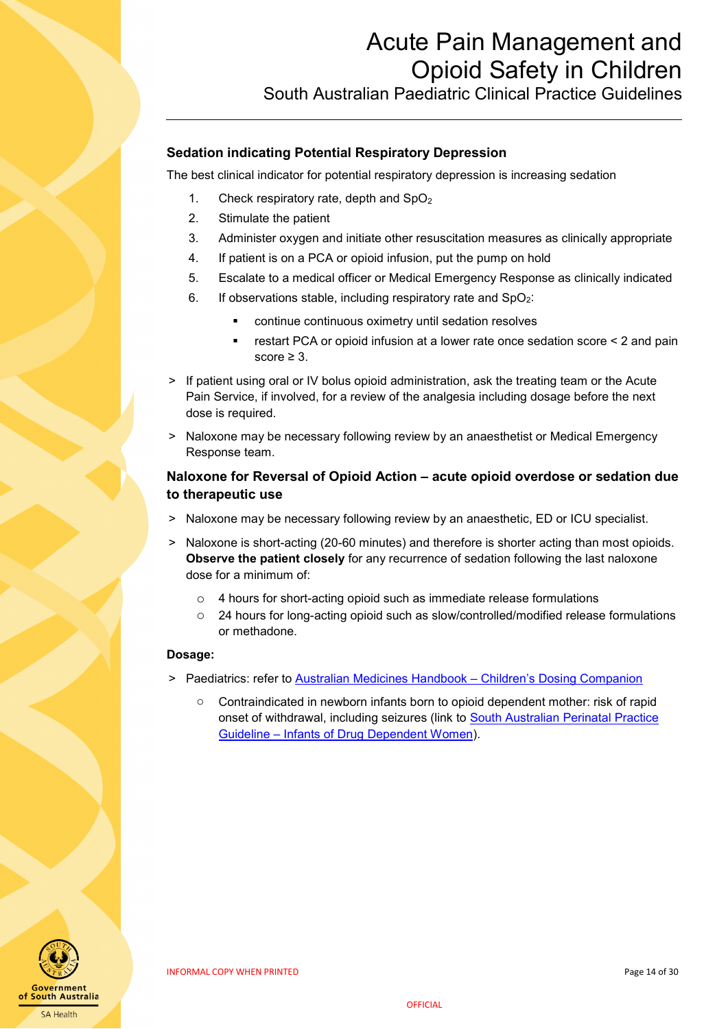

## **Sedation indicating Potential Respiratory Depression**

The best clinical indicator for potential respiratory depression is increasing sedation

- 1. Check respiratory rate, depth and  $SpO<sub>2</sub>$
- 2. Stimulate the patient
- 3. Administer oxygen and initiate other resuscitation measures as clinically appropriate
- 4. If patient is on a PCA or opioid infusion, put the pump on hold
- 5. Escalate to a medical officer or Medical Emergency Response as clinically indicated
- 6. If observations stable, including respiratory rate and  $SpO<sub>2</sub>$ :
	- continue continuous oximetry until sedation resolves
	- restart PCA or opioid infusion at a lower rate once sedation score < 2 and pain score > 3
- > If patient using oral or IV bolus opioid administration, ask the treating team or the Acute Pain Service, if involved, for a review of the analgesia including dosage before the next dose is required.
- ˃ Naloxone may be necessary following review by an anaesthetist or Medical Emergency Response team.

#### <span id="page-13-0"></span>**Naloxone for Reversal of Opioid Action – acute opioid overdose or sedation due to therapeutic use**

- ˃ Naloxone may be necessary following review by an anaesthetic, ED or ICU specialist.
- ˃ Naloxone is short-acting (20-60 minutes) and therefore is shorter acting than most opioids. **Observe the patient closely** for any recurrence of sedation following the last naloxone dose for a minimum of:
	- o 4 hours for short-acting opioid such as immediate release formulations
	- o 24 hours for long-acting opioid such as slow/controlled/modified release formulations or methadone.

#### **Dosage:**

- > Paediatrics: refer to [Australian Medicines Handbook –](https://childrens.amh.net.au/) Children's Dosing Companion
	- $\circ$  Contraindicated in newborn infants born to opioid dependent mother: risk of rapid onset of withdrawal, including seizures (link to [South Australian Perinatal Practice](http://www.sahealth.sa.gov.au/wps/wcm/connect/public+content/sa+health+internet/clinical+resources/clinical+topics/perinatal/perinatal+practice+guidelines)  Guideline – [Infants of Drug Dependent Women\)](http://www.sahealth.sa.gov.au/wps/wcm/connect/public+content/sa+health+internet/clinical+resources/clinical+topics/perinatal/perinatal+practice+guidelines).

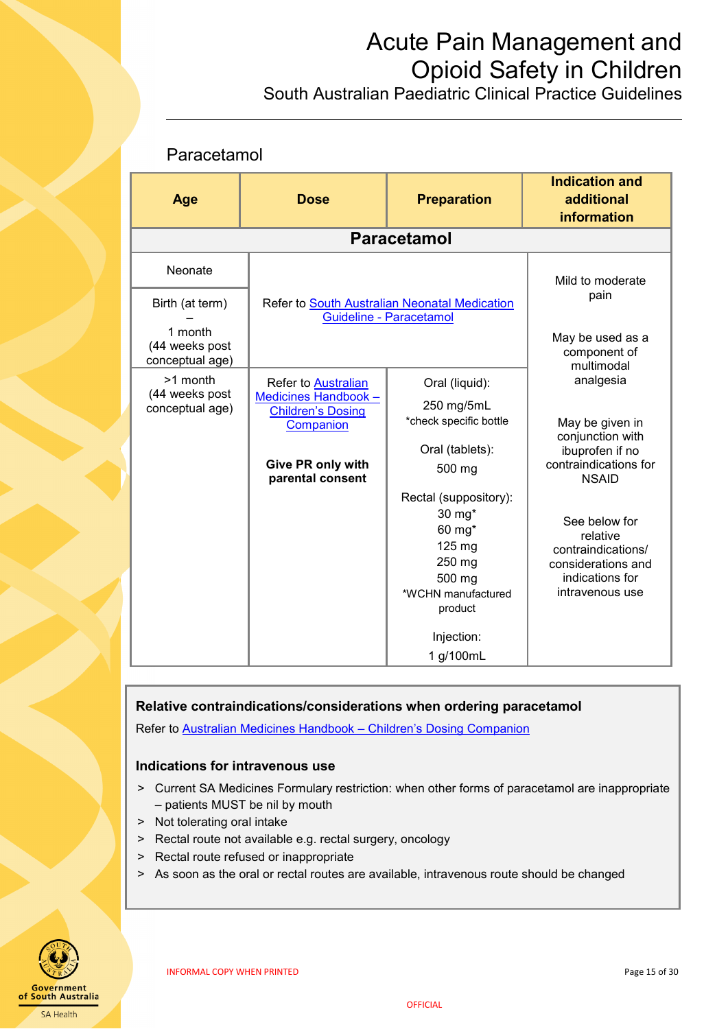South Australian Paediatric Clinical Practice Guidelines

### <span id="page-14-0"></span>Paracetamol

| Age                                          | <b>Dose</b>                                                   | <b>Preparation</b>                                                                                       | <b>Indication and</b><br>additional<br>information                                                          |
|----------------------------------------------|---------------------------------------------------------------|----------------------------------------------------------------------------------------------------------|-------------------------------------------------------------------------------------------------------------|
|                                              |                                                               | <b>Paracetamol</b>                                                                                       |                                                                                                             |
| Neonate                                      |                                                               |                                                                                                          | Mild to moderate                                                                                            |
| Birth (at term)                              |                                                               | Refer to South Australian Neonatal Medication<br>Guideline - Paracetamol                                 | pain                                                                                                        |
| 1 month<br>(44 weeks post<br>conceptual age) |                                                               |                                                                                                          | May be used as a<br>component of<br>multimodal                                                              |
| >1 month                                     | <b>Refer to Australian</b>                                    | Oral (liquid):                                                                                           | analgesia                                                                                                   |
| (44 weeks post<br>conceptual age)            | Medicines Handbook -<br><b>Children's Dosing</b><br>Companion | 250 mg/5mL<br>*check specific bottle                                                                     | May be given in<br>conjunction with                                                                         |
|                                              |                                                               | Oral (tablets):                                                                                          | ibuprofen if no                                                                                             |
|                                              | Give PR only with<br>parental consent                         | 500 mg                                                                                                   | contraindications for<br><b>NSAID</b>                                                                       |
|                                              |                                                               | Rectal (suppository):<br>30 mg*<br>60 mg*<br>125 mg<br>250 mg<br>500 mg<br>*WCHN manufactured<br>product | See below for<br>relative<br>contraindications/<br>considerations and<br>indications for<br>intravenous use |
|                                              |                                                               | Injection:<br>1 g/100mL                                                                                  |                                                                                                             |

#### **Relative contraindications/considerations when ordering paracetamol**

Refer to [Australian Medicines Handbook –](https://childrens.amh.net.au/) Children's Dosing Companion

#### **Indications for intravenous use**

- ˃ Current SA Medicines Formulary restriction: when other forms of paracetamol are inappropriate – patients MUST be nil by mouth
- > Not tolerating oral intake
- > Rectal route not available e.g. rectal surgery, oncology
- > Rectal route refused or inappropriate
- > As soon as the oral or rectal routes are available, intravenous route should be changed

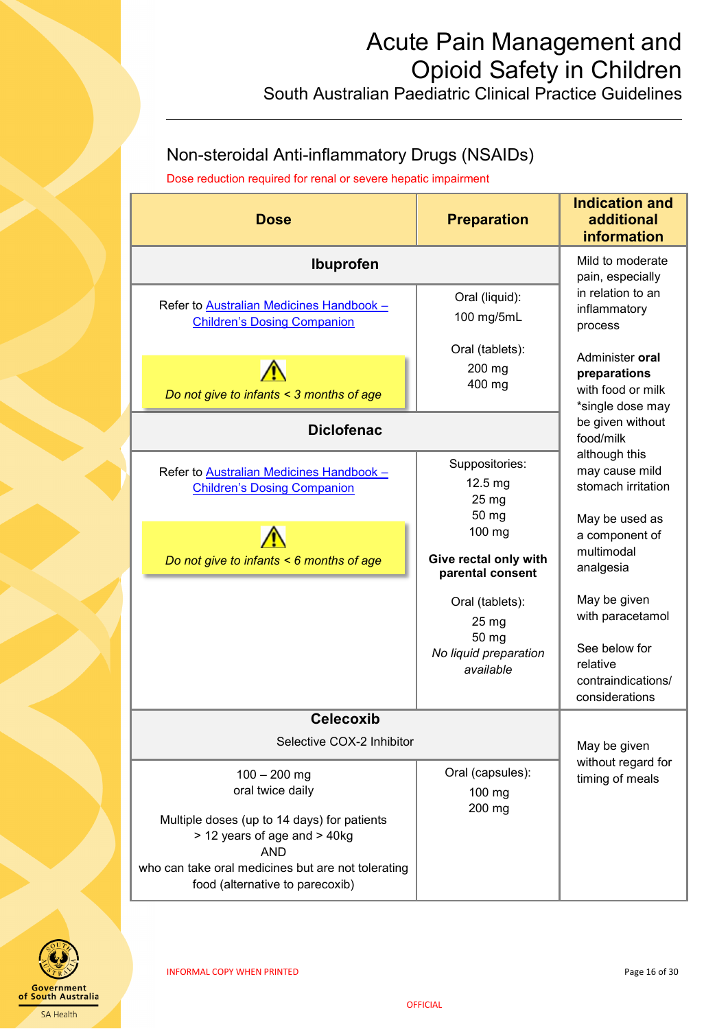# Acute Pain Management and Opioid Safety in Children South Australian Paediatric Clinical Practice Guidelines

# <span id="page-15-0"></span>Non-steroidal Anti-inflammatory Drugs (NSAIDs)

Dose reduction required for renal or severe hepatic impairment

| <b>Dose</b>                                                                                                                                                                           | <b>Preparation</b>                                  | <b>Indication and</b><br>additional<br>information                       |
|---------------------------------------------------------------------------------------------------------------------------------------------------------------------------------------|-----------------------------------------------------|--------------------------------------------------------------------------|
| <b>Ibuprofen</b>                                                                                                                                                                      | Mild to moderate<br>pain, especially                |                                                                          |
| Refer to Australian Medicines Handbook -<br><b>Children's Dosing Companion</b>                                                                                                        | Oral (liquid):<br>100 mg/5mL                        | in relation to an<br>inflammatory<br>process                             |
| Do not give to infants < 3 months of age                                                                                                                                              | Oral (tablets):<br>200 mg<br>400 mg                 | Administer oral<br>preparations<br>with food or milk<br>*single dose may |
| <b>Diclofenac</b>                                                                                                                                                                     |                                                     | be given without<br>food/milk                                            |
| Refer to Australian Medicines Handbook -<br><b>Children's Dosing Companion</b>                                                                                                        | Suppositories:<br>12.5 mg<br>25 mg<br>50 mg         | although this<br>may cause mild<br>stomach irritation<br>May be used as  |
| Do not give to infants < 6 months of age                                                                                                                                              | 100 mg<br>Give rectal only with<br>parental consent | a component of<br>multimodal<br>analgesia                                |
|                                                                                                                                                                                       | Oral (tablets):<br>25 mg                            | May be given<br>with paracetamol                                         |
|                                                                                                                                                                                       | 50 mg<br>No liquid preparation<br>available         | See below for<br>relative<br>contraindications/<br>considerations        |
| <b>Celecoxib</b>                                                                                                                                                                      |                                                     |                                                                          |
| Selective COX-2 Inhibitor                                                                                                                                                             | May be given                                        |                                                                          |
| $100 - 200$ mg<br>oral twice daily<br>Multiple doses (up to 14 days) for patients<br>> 12 years of age and > 40kg<br><b>AND</b><br>who can take oral medicines but are not tolerating | Oral (capsules):<br>100 mg<br>200 mg                | without regard for<br>timing of meals                                    |
| food (alternative to parecoxib)                                                                                                                                                       |                                                     |                                                                          |

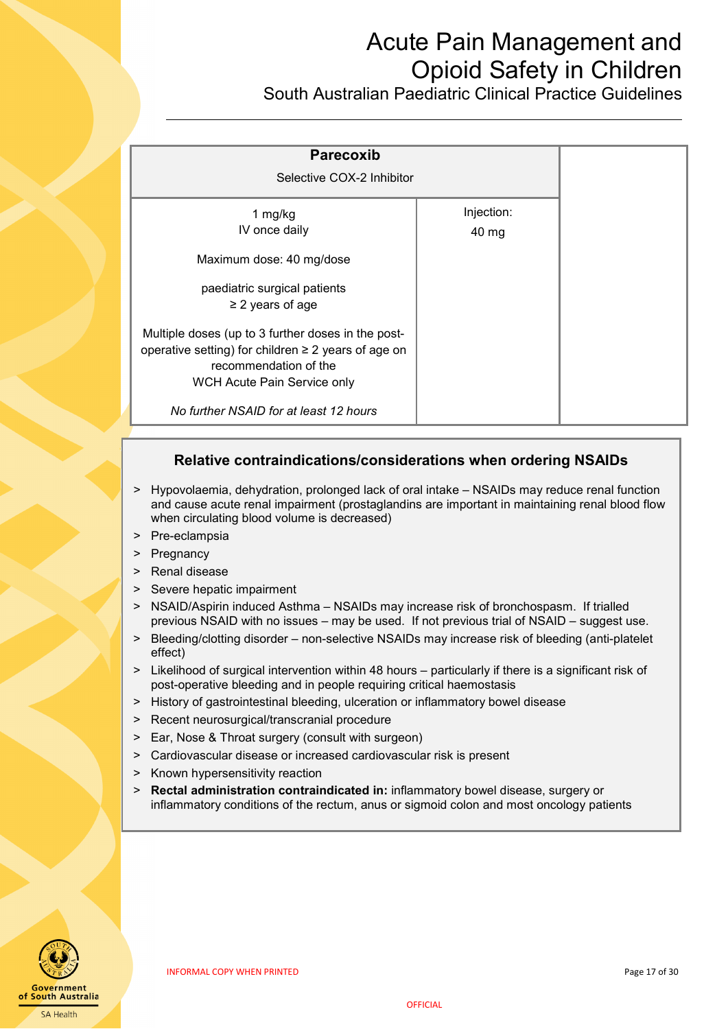South Australian Paediatric Clinical Practice Guidelines

| <b>Parecoxib</b><br>Selective COX-2 Inhibitor                                                                                                                          |                     |  |
|------------------------------------------------------------------------------------------------------------------------------------------------------------------------|---------------------|--|
| 1 mg/kg<br>IV once daily                                                                                                                                               | Injection:<br>40 mg |  |
| Maximum dose: 40 mg/dose<br>paediatric surgical patients<br>$\geq$ 2 years of age                                                                                      |                     |  |
| Multiple doses (up to 3 further doses in the post-<br>operative setting) for children $\geq 2$ years of age on<br>recommendation of the<br>WCH Acute Pain Service only |                     |  |
| No further NSAID for at least 12 hours                                                                                                                                 |                     |  |

### **Relative contraindications/considerations when ordering NSAIDs**

- ˃ Hypovolaemia, dehydration, prolonged lack of oral intake NSAIDs may reduce renal function and cause acute renal impairment (prostaglandins are important in maintaining renal blood flow when circulating blood volume is decreased)
- > Pre-eclampsia
- > Pregnancy
- > Renal disease
- Severe hepatic impairment
- NSAID/Aspirin induced Asthma NSAIDs may increase risk of bronchospasm. If trialled previous NSAID with no issues – may be used. If not previous trial of NSAID – suggest use.
- > Bleeding/clotting disorder non-selective NSAIDs may increase risk of bleeding (anti-platelet effect)
- > Likelihood of surgical intervention within 48 hours particularly if there is a significant risk of post-operative bleeding and in people requiring critical haemostasis
- ˃ History of gastrointestinal bleeding, ulceration or inflammatory bowel disease
- ˃ Recent neurosurgical/transcranial procedure
- > Ear, Nose & Throat surgery (consult with surgeon)
- > Cardiovascular disease or increased cardiovascular risk is present
- > Known hypersensitivity reaction
- ˃ **Rectal administration contraindicated in:** inflammatory bowel disease, surgery or inflammatory conditions of the rectum, anus or sigmoid colon and most oncology patients

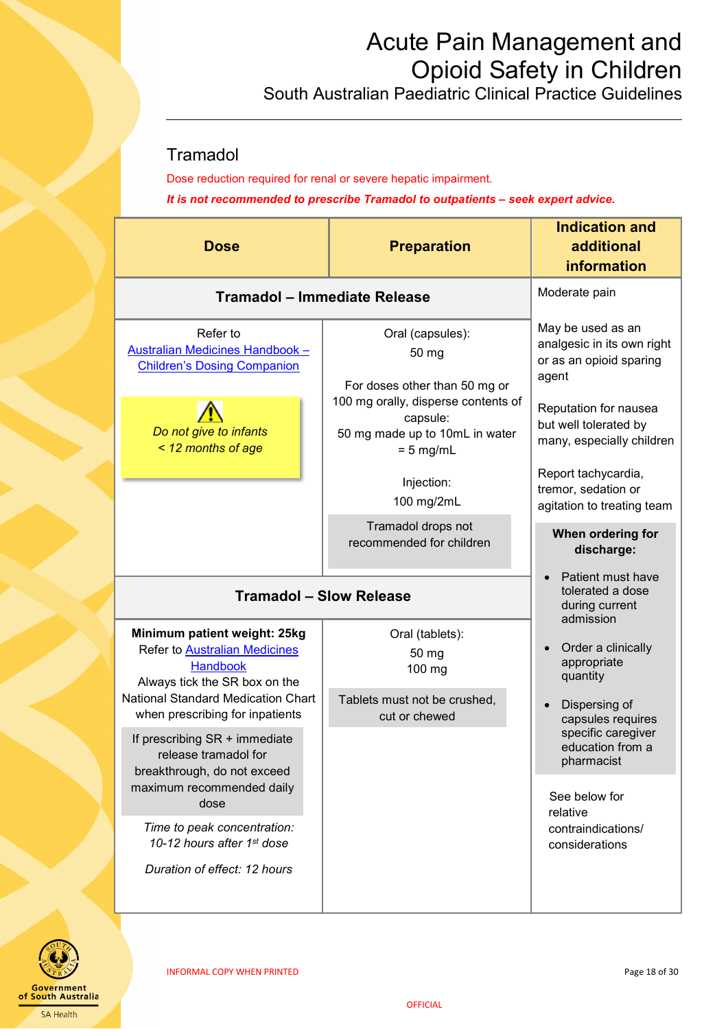South Australian Paediatric Clinical Practice Guidelines

## <span id="page-17-0"></span>**Tramadol**

Dose reduction required for renal or severe hepatic impairment. *It is not recommended to prescribe Tramadol to outpatients – seek expert advice.*

| <b>Preparation</b><br><b>Dose</b>                                                                                                 |                                                                                                                                                 | <b>Indication and</b><br>additional<br><b>information</b>                                                                                                          |
|-----------------------------------------------------------------------------------------------------------------------------------|-------------------------------------------------------------------------------------------------------------------------------------------------|--------------------------------------------------------------------------------------------------------------------------------------------------------------------|
| Tramadol - Immediate Release                                                                                                      |                                                                                                                                                 | Moderate pain                                                                                                                                                      |
| Refer to<br>Australian Medicines Handbook -<br><b>Children's Dosing Companion</b><br>Do not give to infants<br>< 12 months of age | Oral (capsules):<br>50 mg<br>For doses other than 50 mg or<br>100 mg orally, disperse contents of<br>capsule:<br>50 mg made up to 10mL in water | May be used as an<br>analgesic in its own right<br>or as an opioid sparing<br>agent<br>Reputation for nausea<br>but well tolerated by<br>many, especially children |
|                                                                                                                                   | $= 5$ mg/mL<br>Injection:<br>100 mg/2mL                                                                                                         | Report tachycardia,<br>tremor, sedation or<br>agitation to treating team                                                                                           |
|                                                                                                                                   | Tramadol drops not<br>recommended for children                                                                                                  | When ordering for<br>discharge:                                                                                                                                    |
| <b>Tramadol - Slow Release</b><br>Minimum patient weight: 25kg                                                                    | Patient must have<br>tolerated a dose<br>during current<br>admission                                                                            |                                                                                                                                                                    |
| <b>Refer to Australian Medicines</b><br><b>Handbook</b><br>Always tick the SR box on the                                          | 50 mg<br>100 mg                                                                                                                                 | Order a clinically<br>appropriate<br>quantity                                                                                                                      |
| National Standard Medication Chart<br>when prescribing for inpatients                                                             | Tablets must not be crushed,<br>cut or chewed                                                                                                   | Dispersing of<br>capsules requires<br>specific caregiver                                                                                                           |
| If prescribing SR + immediate<br>release tramadol for<br>breakthrough, do not exceed                                              |                                                                                                                                                 | education from a<br>pharmacist                                                                                                                                     |
| maximum recommended daily<br>dose                                                                                                 |                                                                                                                                                 | See below for<br>relative                                                                                                                                          |
| Time to peak concentration:<br>10-12 hours after 1st dose                                                                         |                                                                                                                                                 | contraindications/<br>considerations                                                                                                                               |
| Duration of effect: 12 hours                                                                                                      |                                                                                                                                                 |                                                                                                                                                                    |

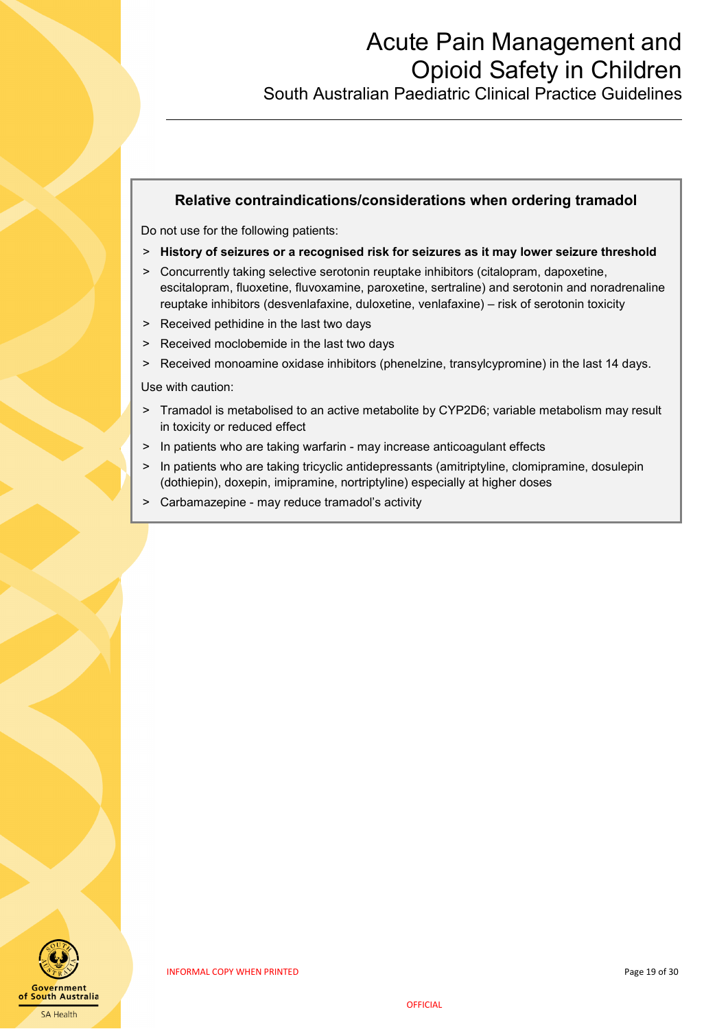South Australian Paediatric Clinical Practice Guidelines

#### **Relative contraindications/considerations when ordering tramadol**

Do not use for the following patients:

- ˃ **History of seizures or a recognised risk for seizures as it may lower seizure threshold**
- ˃ Concurrently taking selective serotonin reuptake inhibitors (citalopram, dapoxetine, escitalopram, fluoxetine, fluvoxamine, paroxetine, sertraline) and serotonin and noradrenaline reuptake inhibitors (desvenlafaxine, duloxetine, venlafaxine) – risk of serotonin toxicity
- > Received pethidine in the last two days
- > Received moclobemide in the last two days
- ˃ Received monoamine oxidase inhibitors (phenelzine, transylcypromine) in the last 14 days.

Use with caution:

- > Tramadol is metabolised to an active metabolite by CYP2D6; variable metabolism may result in toxicity or reduced effect
- > In patients who are taking warfarin may increase anticoagulant effects
- > In patients who are taking tricyclic antidepressants (amitriptyline, clomipramine, dosulepin (dothiepin), doxepin, imipramine, nortriptyline) especially at higher doses
- ˃ Carbamazepine may reduce tramadol's activity

i<br>I

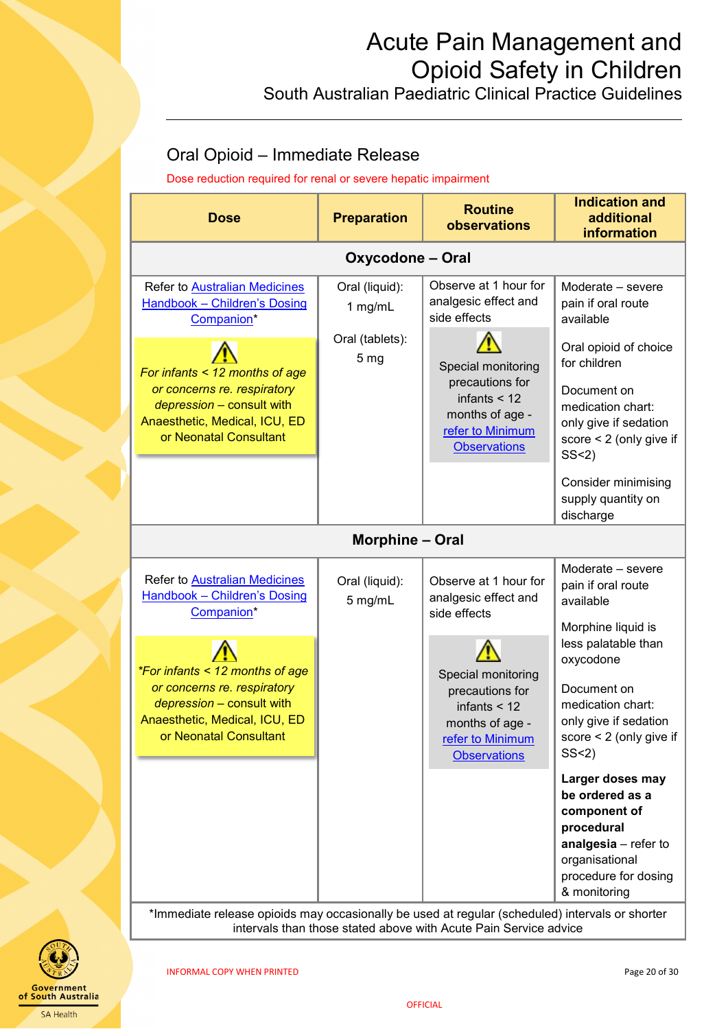South Australian Paediatric Clinical Practice Guidelines

## <span id="page-19-0"></span>Oral Opioid – Immediate Release

Dose reduction required for renal or severe hepatic impairment

| <b>Dose</b>                                                                                                                                                                                                                                                                                                                                        | <b>Preparation</b>                 | <b>Routine</b><br>observations                                                                                                                                                                                                                             | <b>Indication and</b><br>additional<br>information                                                                                                                                                                                                                                                                                                                        |  |
|----------------------------------------------------------------------------------------------------------------------------------------------------------------------------------------------------------------------------------------------------------------------------------------------------------------------------------------------------|------------------------------------|------------------------------------------------------------------------------------------------------------------------------------------------------------------------------------------------------------------------------------------------------------|---------------------------------------------------------------------------------------------------------------------------------------------------------------------------------------------------------------------------------------------------------------------------------------------------------------------------------------------------------------------------|--|
|                                                                                                                                                                                                                                                                                                                                                    | <b>Oxycodone - Oral</b>            |                                                                                                                                                                                                                                                            |                                                                                                                                                                                                                                                                                                                                                                           |  |
| Refer to Australian Medicines<br><b>Handbook - Children's Dosing</b><br>Companion*                                                                                                                                                                                                                                                                 | Oral (liquid):<br>1 mg/mL          | Observe at 1 hour for<br>analgesic effect and<br>side effects                                                                                                                                                                                              | Moderate - severe<br>pain if oral route<br>available                                                                                                                                                                                                                                                                                                                      |  |
| For infants < 12 months of age<br>or concerns re. respiratory<br>depression - consult with<br>Anaesthetic, Medical, ICU, ED<br>or Neonatal Consultant                                                                                                                                                                                              | Oral (tablets):<br>5 <sub>mg</sub> | Special monitoring<br>precautions for<br>infants $<$ 12<br>months of age -<br>refer to Minimum<br><b>Observations</b>                                                                                                                                      | Oral opioid of choice<br>for children<br>Document on<br>medication chart:<br>only give if sedation<br>score $<$ 2 (only give if<br>SS < 2<br><b>Consider minimising</b><br>supply quantity on                                                                                                                                                                             |  |
| discharge<br><b>Morphine - Oral</b>                                                                                                                                                                                                                                                                                                                |                                    |                                                                                                                                                                                                                                                            |                                                                                                                                                                                                                                                                                                                                                                           |  |
| Refer to Australian Medicines<br>Handbook - Children's Dosing<br>Companion*<br><i>*For infants &lt; 12 months of age</i><br>or concerns re. respiratory<br>depression - consult with<br>Anaesthetic, Medical, ICU, ED<br>or Neonatal Consultant<br>*Immediate release opioids may occasionally be used at regular (scheduled) intervals or shorter | Oral (liquid):<br>5 mg/mL          | Observe at 1 hour for<br>analgesic effect and<br>side effects<br>Special monitoring<br>precautions for<br>infants $<$ 12<br>months of age -<br>refer to Minimum<br><b>Observations</b><br>intervals than those stated above with Acute Pain Service advice | Moderate - severe<br>pain if oral route<br>available<br>Morphine liquid is<br>less palatable than<br>oxycodone<br>Document on<br>medication chart:<br>only give if sedation<br>score $< 2$ (only give if<br>SS < 2<br>Larger doses may<br>be ordered as a<br>component of<br>procedural<br>analgesia - refer to<br>organisational<br>procedure for dosing<br>& monitoring |  |

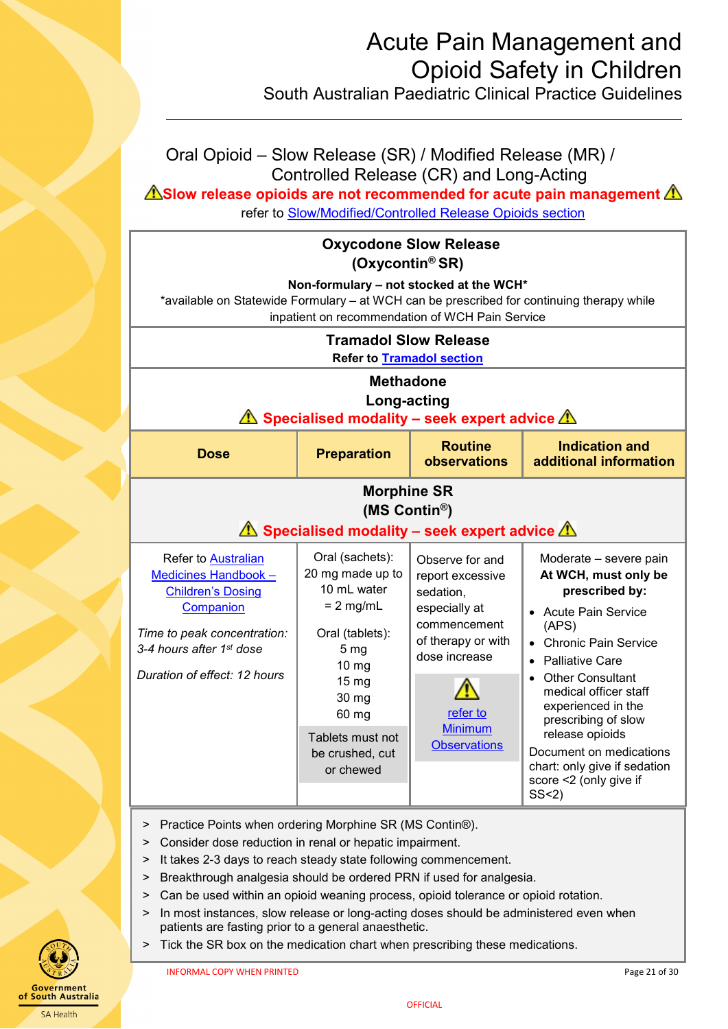South Australian Paediatric Clinical Practice Guidelines

<span id="page-20-0"></span>

| Oral Opioid – Slow Release (SR) / Modified Release (MR) /<br>Controlled Release (CR) and Long-Acting<br>$\triangle$ Slow release opioids are not recommended for acute pain management $\triangle$<br>refer to Slow/Modified/Controlled Release Opioids section |                                                                                                                                                                                                 |                                                                                                                                                                               |                                                                                                                                                                                                                                                                                                                                                                                    |  |  |
|-----------------------------------------------------------------------------------------------------------------------------------------------------------------------------------------------------------------------------------------------------------------|-------------------------------------------------------------------------------------------------------------------------------------------------------------------------------------------------|-------------------------------------------------------------------------------------------------------------------------------------------------------------------------------|------------------------------------------------------------------------------------------------------------------------------------------------------------------------------------------------------------------------------------------------------------------------------------------------------------------------------------------------------------------------------------|--|--|
| <b>Oxycodone Slow Release</b><br>(Oxycontin® SR)<br>Non-formulary - not stocked at the WCH*<br>*available on Statewide Formulary - at WCH can be prescribed for continuing therapy while<br>inpatient on recommendation of WCH Pain Service                     |                                                                                                                                                                                                 |                                                                                                                                                                               |                                                                                                                                                                                                                                                                                                                                                                                    |  |  |
| <b>Tramadol Slow Release</b><br><b>Refer to Tramadol section</b><br><b>Methadone</b><br>Long-acting<br>$\sqrt{N}$ Specialised modality – seek expert advice $\sqrt{N}$                                                                                          |                                                                                                                                                                                                 |                                                                                                                                                                               |                                                                                                                                                                                                                                                                                                                                                                                    |  |  |
| <b>Dose</b>                                                                                                                                                                                                                                                     | <b>Routine</b><br><b>Indication and</b><br><b>Preparation</b><br>observations<br>additional information                                                                                         |                                                                                                                                                                               |                                                                                                                                                                                                                                                                                                                                                                                    |  |  |
|                                                                                                                                                                                                                                                                 | <b>Morphine SR</b><br>(MS Contin®)<br>$\Lambda$ Specialised modality – seek expert advice $\Lambda$                                                                                             |                                                                                                                                                                               |                                                                                                                                                                                                                                                                                                                                                                                    |  |  |
| <b>Refer to Australian</b><br>Medicines Handbook -<br><b>Children's Dosing</b><br>Companion<br>Time to peak concentration:<br>3-4 hours after 1st dose<br>Duration of effect: 12 hours                                                                          | Oral (sachets):<br>20 mg made up to<br>10 mL water<br>$= 2$ mg/mL<br>Oral (tablets):<br>5 <sub>mg</sub><br>10 mg<br>15 mg<br>30 mg<br>60 mg<br>Tablets must not<br>be crushed, cut<br>or chewed | Observe for and<br>report excessive<br>sedation,<br>especially at<br>commencement<br>of therapy or with<br>dose increase<br>refer to<br><b>Minimum</b><br><b>Observations</b> | Moderate - severe pain<br>At WCH, must only be<br>prescribed by:<br><b>Acute Pain Service</b><br>(APS)<br><b>Chronic Pain Service</b><br><b>Palliative Care</b><br><b>Other Consultant</b><br>medical officer staff<br>experienced in the<br>prescribing of slow<br>release opioids<br>Document on medications<br>chart: only give if sedation<br>score <2 (only give if<br>SS < 2 |  |  |

- > Practice Points when ordering Morphine SR (MS Contin®).
- ˃ ˃ Consider dose reduction in renal or hepatic impairment.
- > It takes 2-3 days to reach steady state following commencement.
- > Breakthrough analgesia should be ordered PRN if used for analgesia.
- > Can be used within an opioid weaning process, opioid tolerance or opioid rotation.
- > In most instances, slow release or long-acting doses should be administered even when patients are fasting prior to a general anaesthetic.
- ˃ Tick the SR box on the medication chart when prescribing these medications.

of South Australia SA Health

**OFFICIAL**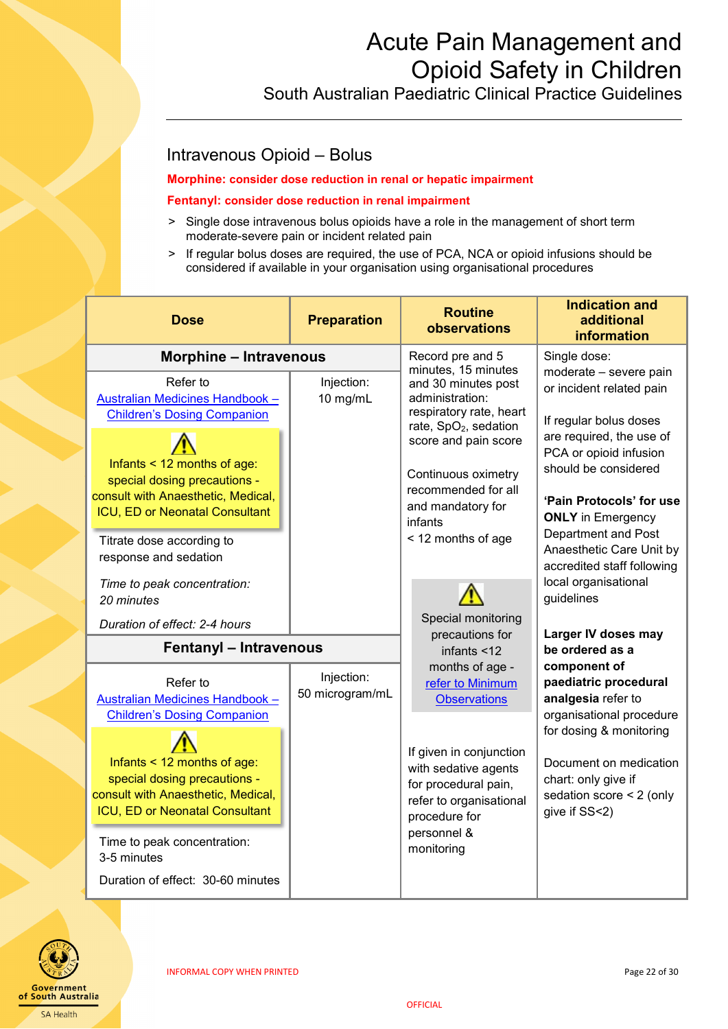South Australian Paediatric Clinical Practice Guidelines

### <span id="page-21-0"></span>Intravenous Opioid – Bolus

#### **Morphine: consider dose reduction in renal or hepatic impairment**

#### **Fentanyl: consider dose reduction in renal impairment**

- > Single dose intravenous bolus opioids have a role in the management of short term moderate-severe pain or incident related pain
- > If regular bolus doses are required, the use of PCA, NCA or opioid infusions should be considered if available in your organisation using organisational procedures

| <b>Dose</b>                                                                                                                                                                                                                                                              | <b>Preparation</b>            | <b>Routine</b><br>observations                                                                                                                                                                                                                            | <b>Indication and</b><br>additional<br>information                                                                                                                                                                                        |
|--------------------------------------------------------------------------------------------------------------------------------------------------------------------------------------------------------------------------------------------------------------------------|-------------------------------|-----------------------------------------------------------------------------------------------------------------------------------------------------------------------------------------------------------------------------------------------------------|-------------------------------------------------------------------------------------------------------------------------------------------------------------------------------------------------------------------------------------------|
| <b>Morphine - Intravenous</b>                                                                                                                                                                                                                                            |                               | Record pre and 5                                                                                                                                                                                                                                          | Single dose:                                                                                                                                                                                                                              |
| Refer to<br>Australian Medicines Handbook -<br><b>Children's Dosing Companion</b><br>Infants < 12 months of age:<br>special dosing precautions -<br>consult with Anaesthetic, Medical,<br><b>ICU, ED or Neonatal Consultant</b><br>Titrate dose according to             | Injection:<br>10 mg/mL        | minutes, 15 minutes<br>and 30 minutes post<br>administration:<br>respiratory rate, heart<br>rate, SpO <sub>2</sub> , sedation<br>score and pain score<br>Continuous oximetry<br>recommended for all<br>and mandatory for<br>infants<br>< 12 months of age | moderate - severe pain<br>or incident related pain<br>If regular bolus doses<br>are required, the use of<br>PCA or opioid infusion<br>should be considered<br>'Pain Protocols' for use<br><b>ONLY</b> in Emergency<br>Department and Post |
| response and sedation<br>Time to peak concentration:<br>20 minutes<br>Duration of effect: 2-4 hours                                                                                                                                                                      |                               | Special monitoring                                                                                                                                                                                                                                        | Anaesthetic Care Unit by<br>accredited staff following<br>local organisational<br>guidelines                                                                                                                                              |
| <b>Fentanyl - Intravenous</b>                                                                                                                                                                                                                                            |                               | precautions for<br>infants <12                                                                                                                                                                                                                            | Larger IV doses may<br>be ordered as a                                                                                                                                                                                                    |
| Refer to<br>Australian Medicines Handbook -<br><b>Children's Dosing Companion</b><br>Infants $<$ 12 months of age:<br>special dosing precautions -<br>consult with Anaesthetic, Medical,<br>ICU, ED or Neonatal Consultant<br>Time to peak concentration:<br>3-5 minutes | Injection:<br>50 microgram/mL | months of age -<br>refer to Minimum<br><b>Observations</b><br>If given in conjunction<br>with sedative agents<br>for procedural pain,<br>refer to organisational<br>procedure for<br>personnel &<br>monitoring                                            | component of<br>paediatric procedural<br>analgesia refer to<br>organisational procedure<br>for dosing & monitoring<br>Document on medication<br>chart: only give if<br>sedation score < 2 (only<br>give if SS<2)                          |
| Duration of effect: 30-60 minutes                                                                                                                                                                                                                                        |                               |                                                                                                                                                                                                                                                           |                                                                                                                                                                                                                                           |

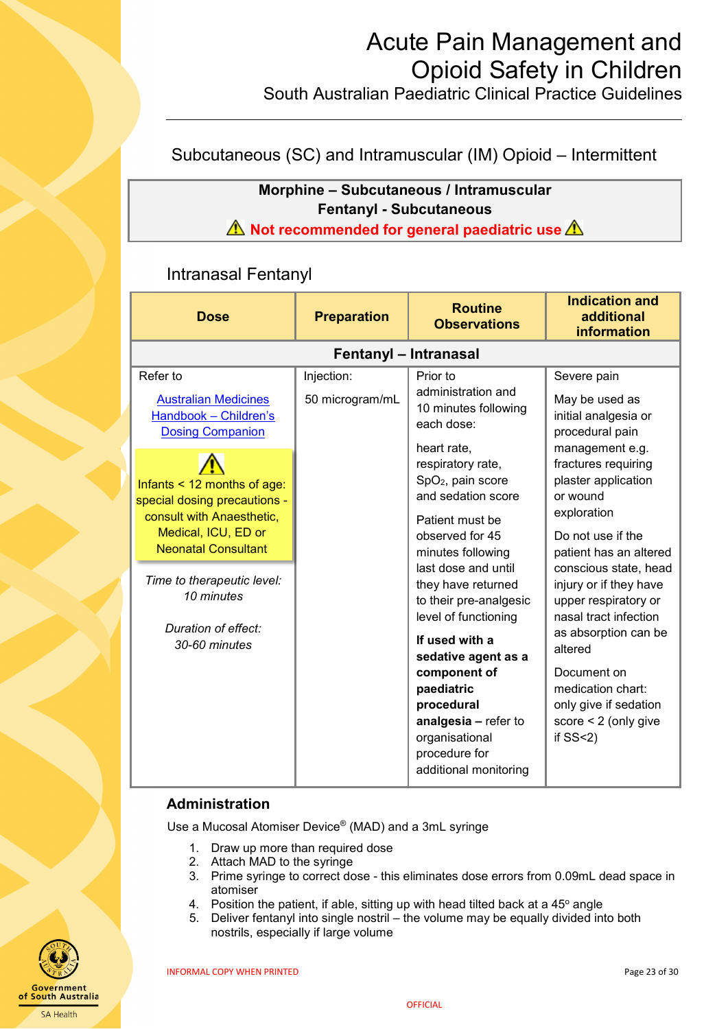South Australian Paediatric Clinical Practice Guidelines

### <span id="page-22-0"></span>Subcutaneous (SC) and Intramuscular (IM) Opioid – Intermittent

### **Morphine – Subcutaneous / Intramuscular Fentanyl - Subcutaneous A** Not recommended for general paediatric use A

### <span id="page-22-1"></span>Intranasal Fentanyl

| <b>Dose</b>                                                                                                                                     | <b>Preparation</b>    | <b>Routine</b><br><b>Observations</b>                                                                                                                                                                                                                                | <b>Indication and</b><br>additional<br><b>information</b>                                                                                                                                                                                   |
|-------------------------------------------------------------------------------------------------------------------------------------------------|-----------------------|----------------------------------------------------------------------------------------------------------------------------------------------------------------------------------------------------------------------------------------------------------------------|---------------------------------------------------------------------------------------------------------------------------------------------------------------------------------------------------------------------------------------------|
|                                                                                                                                                 | Fentanyl - Intranasal |                                                                                                                                                                                                                                                                      |                                                                                                                                                                                                                                             |
| Refer to                                                                                                                                        | Injection:            | Prior to                                                                                                                                                                                                                                                             | Severe pain                                                                                                                                                                                                                                 |
| <b>Australian Medicines</b><br>Handbook - Children's<br><b>Dosing Companion</b>                                                                 | 50 microgram/mL       | administration and<br>10 minutes following<br>each dose:                                                                                                                                                                                                             | May be used as<br>initial analgesia or<br>procedural pain                                                                                                                                                                                   |
| Infants $<$ 12 months of age:<br>special dosing precautions -<br>consult with Anaesthetic,<br>Medical, ICU, ED or<br><b>Neonatal Consultant</b> |                       | heart rate,<br>respiratory rate,<br>SpO <sub>2</sub> , pain score<br>and sedation score<br>Patient must be<br>observed for 45<br>minutes following                                                                                                                   | management e.g.<br>fractures requiring<br>plaster application<br>or wound<br>exploration<br>Do not use if the<br>patient has an altered                                                                                                     |
| Time to therapeutic level:<br>10 minutes<br>Duration of effect:<br>30-60 minutes                                                                |                       | last dose and until<br>they have returned<br>to their pre-analgesic<br>level of functioning<br>If used with a<br>sedative agent as a<br>component of<br>paediatric<br>procedural<br>analgesia - refer to<br>organisational<br>procedure for<br>additional monitoring | conscious state, head<br>injury or if they have<br>upper respiratory or<br>nasal tract infection<br>as absorption can be<br>altered<br>Document on<br>medication chart:<br>only give if sedation<br>score $< 2$ (only give<br>if $SS < 2$ ) |

### **Administration**

Use a Mucosal Atomiser Device® (MAD) and a 3mL syringe

- 1. Draw up more than required dose
- 2. Attach MAD to the syringe
- 3. Prime syringe to correct dose this eliminates dose errors from 0.09mL dead space in atomiser
- 4. Position the patient, if able, sitting up with head tilted back at a  $45^{\circ}$  angle
- 5. Deliver fentanyl into single nostril the volume may be equally divided into both nostrils, especially if large volume

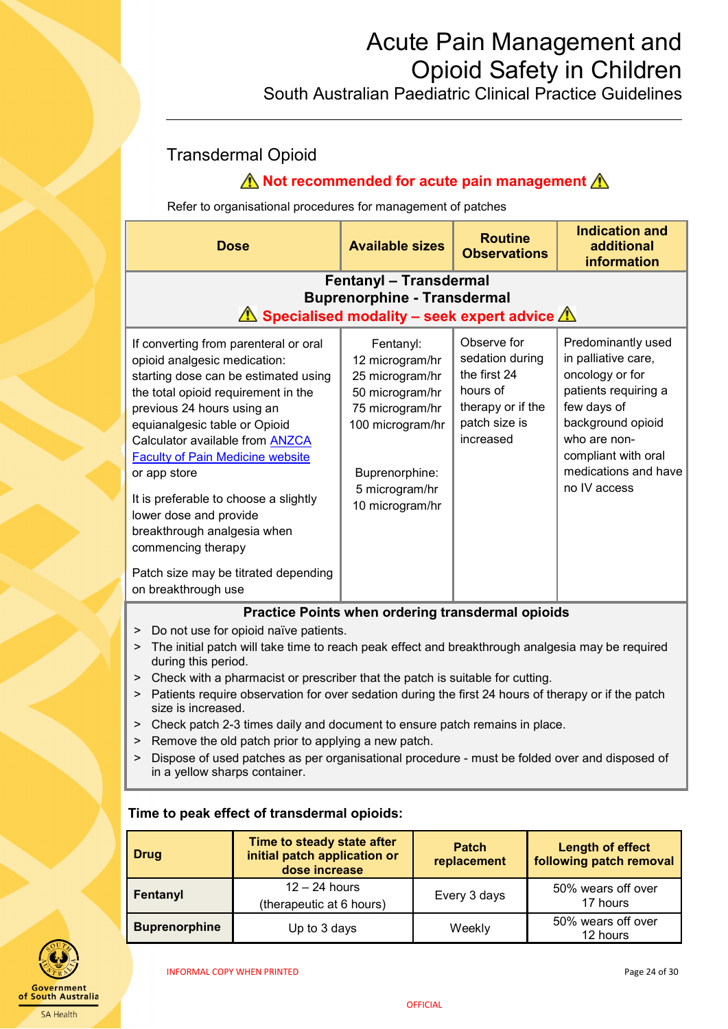South Australian Paediatric Clinical Practice Guidelines

## <span id="page-23-0"></span>Transdermal Opioid

## **A** Not recommended for acute pain management **A**

Refer to organisational procedures for management of patches

| <b>Dose</b>                                                                                                                                                                                                                                                                                                                                                                                                                                                                                                                             | <b>Available sizes</b>                                                                                                                                           | <b>Routine</b><br><b>Observations</b>                                                                         | <b>Indication and</b><br>additional<br>information                                                                                                                                                      |
|-----------------------------------------------------------------------------------------------------------------------------------------------------------------------------------------------------------------------------------------------------------------------------------------------------------------------------------------------------------------------------------------------------------------------------------------------------------------------------------------------------------------------------------------|------------------------------------------------------------------------------------------------------------------------------------------------------------------|---------------------------------------------------------------------------------------------------------------|---------------------------------------------------------------------------------------------------------------------------------------------------------------------------------------------------------|
| <b>Fentanyl - Transdermal</b><br><b>Buprenorphine - Transdermal</b><br>$\triangle$ Specialised modality – seek expert advice $\triangle$                                                                                                                                                                                                                                                                                                                                                                                                |                                                                                                                                                                  |                                                                                                               |                                                                                                                                                                                                         |
| If converting from parenteral or oral<br>opioid analgesic medication:<br>starting dose can be estimated using<br>the total opioid requirement in the<br>previous 24 hours using an<br>equianalgesic table or Opioid<br>Calculator available from <b>ANZCA</b><br><b>Faculty of Pain Medicine website</b><br>or app store<br>It is preferable to choose a slightly<br>lower dose and provide<br>breakthrough analgesia when<br>commencing therapy                                                                                        | Fentanyl:<br>12 microgram/hr<br>25 microgram/hr<br>50 microgram/hr<br>75 microgram/hr<br>100 microgram/hr<br>Buprenorphine:<br>5 microgram/hr<br>10 microgram/hr | Observe for<br>sedation during<br>the first 24<br>hours of<br>therapy or if the<br>patch size is<br>increased | Predominantly used<br>in palliative care,<br>oncology or for<br>patients requiring a<br>few days of<br>background opioid<br>who are non-<br>compliant with oral<br>medications and have<br>no IV access |
| Patch size may be titrated depending<br>on breakthrough use                                                                                                                                                                                                                                                                                                                                                                                                                                                                             |                                                                                                                                                                  |                                                                                                               |                                                                                                                                                                                                         |
| Practice Points when ordering transdermal opioids<br>Do not use for opioid naïve patients.<br>><br>The initial patch will take time to reach peak effect and breakthrough analgesia may be required<br>><br>during this period.<br>Check with a pharmacist or prescriber that the patch is suitable for cutting.<br>><br>Patients require observation for over sedation during the first 24 hours of therapy or if the patch<br>><br>size is increased.<br>> Check patch 2-3 times daily and document to ensure patch remains in place. |                                                                                                                                                                  |                                                                                                               |                                                                                                                                                                                                         |

- > Remove the old patch prior to applying a new patch.
- > Dispose of used patches as per organisational procedure must be folded over and disposed of in a yellow sharps container.

| <b>Drug</b>          | Time to steady state after<br>initial patch application or<br>dose increase | <b>Patch</b><br>replacement | <b>Length of effect</b><br>following patch removal |
|----------------------|-----------------------------------------------------------------------------|-----------------------------|----------------------------------------------------|
| Fentanyl             | $12 - 24$ hours<br>(therapeutic at 6 hours)                                 | Every 3 days                | 50% wears off over<br>17 hours                     |
| <b>Buprenorphine</b> | Up to 3 days                                                                | Weekly                      | 50% wears off over<br>12 hours                     |

### **Time to peak effect of transdermal opioids:**



INFORMAL COPY WHEN PRINTED **EXECUTES** 24 of 30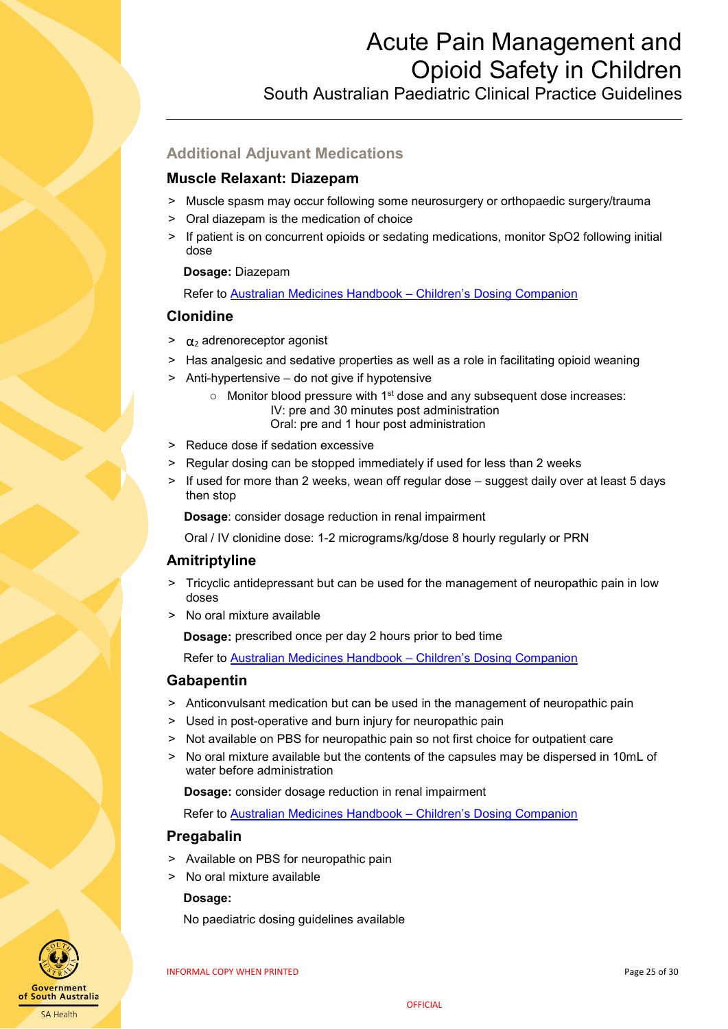South Australian Paediatric Clinical Practice Guidelines

## <span id="page-24-0"></span>**Additional Adjuvant Medications**

### <span id="page-24-1"></span>**Muscle Relaxant: Diazepam**

- > Muscle spasm may occur following some neurosurgery or orthopaedic surgery/trauma
- ˃ Oral diazepam is the medication of choice
- > If patient is on concurrent opioids or sedating medications, monitor SpO2 following initial dose

### **Dosage:** Diazepam

Refer to [Australian Medicines Handbook –](https://childrens.amh.net.au/) Children's Dosing Companion

### <span id="page-24-2"></span>**Clonidine**

- $\sim \alpha_2$  adrenoreceptor agonist
- > Has analgesic and sedative properties as well as a role in facilitating opioid weaning
- ˃ Anti-hypertensive do not give if hypotensive
	- $\circ$  Monitor blood pressure with 1<sup>st</sup> dose and any subsequent dose increases: IV: pre and 30 minutes post administration Oral: pre and 1 hour post administration
- > Reduce dose if sedation excessive
- > Regular dosing can be stopped immediately if used for less than 2 weeks
- > If used for more than 2 weeks, wean off regular dose suggest daily over at least 5 days then stop

**Dosage**: consider dosage reduction in renal impairment

Oral / IV clonidine dose: 1-2 micrograms/kg/dose 8 hourly regularly or PRN

### <span id="page-24-3"></span>**Amitriptyline**

- ˃ Tricyclic antidepressant but can be used for the management of neuropathic pain in low doses
- > No oral mixture available

 **Dosage:** prescribed once per day 2 hours prior to bed time

Refer to [Australian Medicines Handbook –](https://childrens.amh.net.au/) Children's Dosing Companion

### <span id="page-24-4"></span>**Gabapentin**

- > Anticonvulsant medication but can be used in the management of neuropathic pain
- > Used in post-operative and burn injury for neuropathic pain
- > Not available on PBS for neuropathic pain so not first choice for outpatient care
- ˃ No oral mixture available but the contents of the capsules may be dispersed in 10mL of water before administration

**Dosage:** consider dosage reduction in renal impairment

Refer to [Australian Medicines Handbook –](https://childrens.amh.net.au/) Children's Dosing Companion

### <span id="page-24-5"></span>**Pregabalin**

- ˃ Available on PBS for neuropathic pain
- > No oral mixture available

### **Dosage:**

No paediatric dosing guidelines available



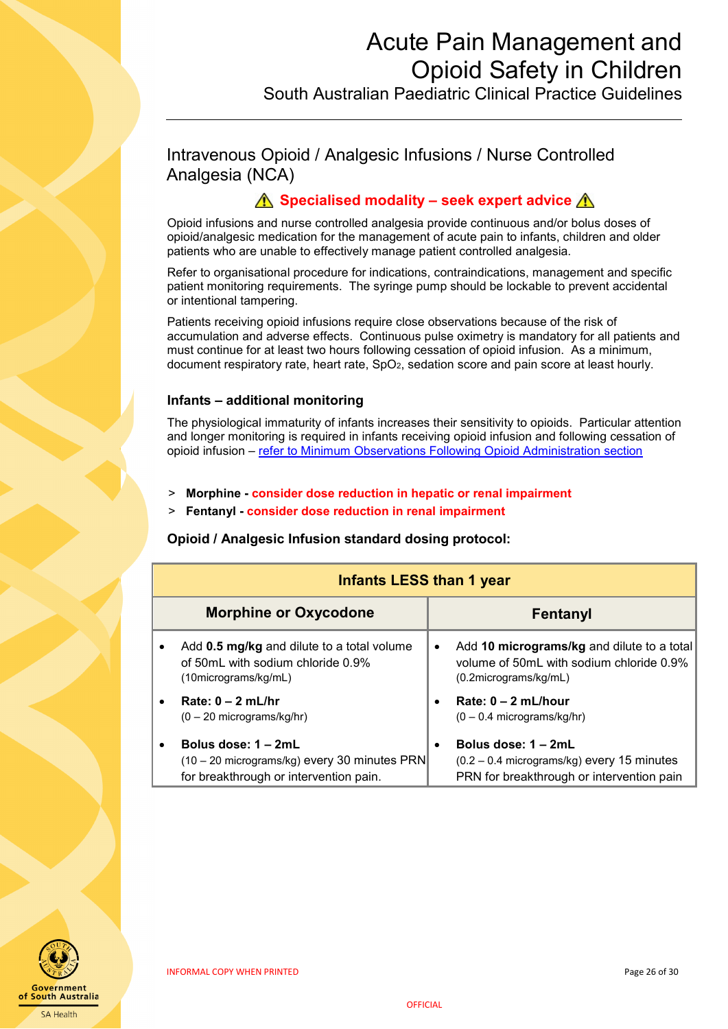South Australian Paediatric Clinical Practice Guidelines

<span id="page-25-0"></span>Intravenous Opioid / Analgesic Infusions / Nurse Controlled Analgesia (NCA)

### **A** Specialised modality – seek expert advice A

Opioid infusions and nurse controlled analgesia provide continuous and/or bolus doses of opioid/analgesic medication for the management of acute pain to infants, children and older patients who are unable to effectively manage patient controlled analgesia.

Refer to organisational procedure for indications, contraindications, management and specific patient monitoring requirements. The syringe pump should be lockable to prevent accidental or intentional tampering.

Patients receiving opioid infusions require close observations because of the risk of accumulation and adverse effects. Continuous pulse oximetry is mandatory for all patients and must continue for at least two hours following cessation of opioid infusion. As a minimum, document respiratory rate, heart rate, SpO<sub>2</sub>, sedation score and pain score at least hourly.

#### **Infants – additional monitoring**

The physiological immaturity of infants increases their sensitivity to opioids. Particular attention and longer monitoring is required in infants receiving opioid infusion and following cessation of opioid infusion – [refer to Minimum Observations Following Opioid Administration section](#page-9-1)

- ˃ **Morphine - consider dose reduction in hepatic or renal impairment**
- ˃ **Fentanyl - consider dose reduction in renal impairment**

**Opioid / Analgesic Infusion standard dosing protocol:**

|           | <b>Infants LESS than 1 year</b>                                                                                 |           |                                                                                                                    |
|-----------|-----------------------------------------------------------------------------------------------------------------|-----------|--------------------------------------------------------------------------------------------------------------------|
|           | <b>Morphine or Oxycodone</b>                                                                                    |           | Fentanyl                                                                                                           |
|           | Add 0.5 mg/kg and dilute to a total volume<br>of 50mL with sodium chloride 0.9%<br>(10micrograms/kg/mL)         | $\bullet$ | Add 10 micrograms/kg and dilute to a total<br>volume of 50mL with sodium chloride 0.9%<br>$(0.2$ micrograms/kg/mL) |
| $\bullet$ | Rate: $0 - 2$ mL/hr<br>$(0 - 20$ micrograms/kg/hr)                                                              |           | Rate: $0 - 2$ mL/hour<br>$(0 - 0.4$ micrograms/kg/hr)                                                              |
| $\bullet$ | Bolus dose: $1 - 2mL$<br>(10 – 20 micrograms/kg) every 30 minutes PRN<br>for breakthrough or intervention pain. |           | Bolus dose: $1 - 2mL$<br>$(0.2 - 0.4$ micrograms/kg) every 15 minutes<br>PRN for breakthrough or intervention pain |

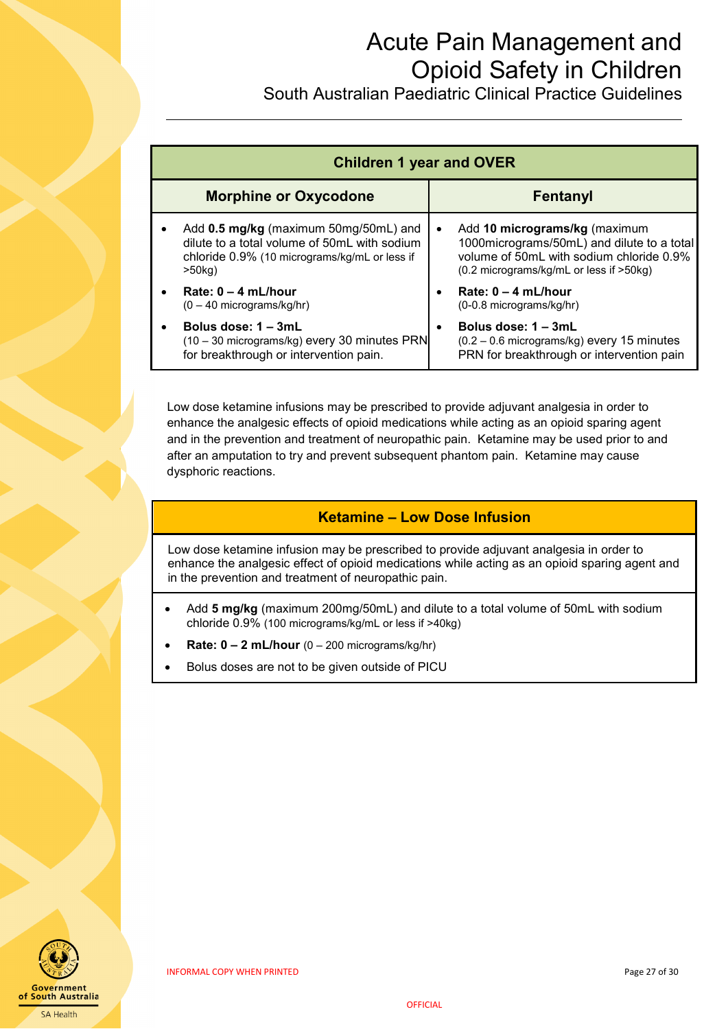South Australian Paediatric Clinical Practice Guidelines

|                              | <b>Children 1 year and OVER</b>                                                                                                                     |                                                                                                                                                                                   |  |  |
|------------------------------|-----------------------------------------------------------------------------------------------------------------------------------------------------|-----------------------------------------------------------------------------------------------------------------------------------------------------------------------------------|--|--|
| <b>Morphine or Oxycodone</b> |                                                                                                                                                     | <b>Fentanyl</b>                                                                                                                                                                   |  |  |
|                              | Add 0.5 mg/kg (maximum 50mg/50mL) and<br>dilute to a total volume of 50mL with sodium<br>chloride 0.9% (10 micrograms/kg/mL or less if<br>$>50$ kg) | Add 10 micrograms/kg (maximum<br>1000 micrograms/50 mL) and dilute to a total<br>volume of 50mL with sodium chloride 0.9%<br>$(0.2 \text{ micrograms/kg/mL}$ or less if $>50$ kg) |  |  |
|                              | Rate: $0 - 4$ mL/hour<br>$(0 - 40$ micrograms/kg/hr)                                                                                                | Rate: $0 - 4$ mL/hour<br>(0-0.8 micrograms/kg/hr)                                                                                                                                 |  |  |
|                              | Bolus dose: 1 – 3mL<br>(10 - 30 micrograms/kg) every 30 minutes PRN<br>for breakthrough or intervention pain.                                       | Bolus dose: 1 – 3mL<br>$(0.2 - 0.6$ micrograms/kg) every 15 minutes<br>PRN for breakthrough or intervention pain                                                                  |  |  |

Low dose ketamine infusions may be prescribed to provide adjuvant analgesia in order to enhance the analgesic effects of opioid medications while acting as an opioid sparing agent and in the prevention and treatment of neuropathic pain. Ketamine may be used prior to and after an amputation to try and prevent subsequent phantom pain. Ketamine may cause dysphoric reactions.

### **Ketamine – Low Dose Infusion**

Low dose ketamine infusion may be prescribed to provide adjuvant analgesia in order to enhance the analgesic effect of opioid medications while acting as an opioid sparing agent and in the prevention and treatment of neuropathic pain.

- Add **5 mg/kg** (maximum 200mg/50mL) and dilute to a total volume of 50mL with sodium chloride 0.9% (100 micrograms/kg/mL or less if >40kg)
- **Rate: 0 – 2 mL/hour** (0 200 micrograms/kg/hr)
- <span id="page-26-0"></span>• Bolus doses are not to be given outside of PICU

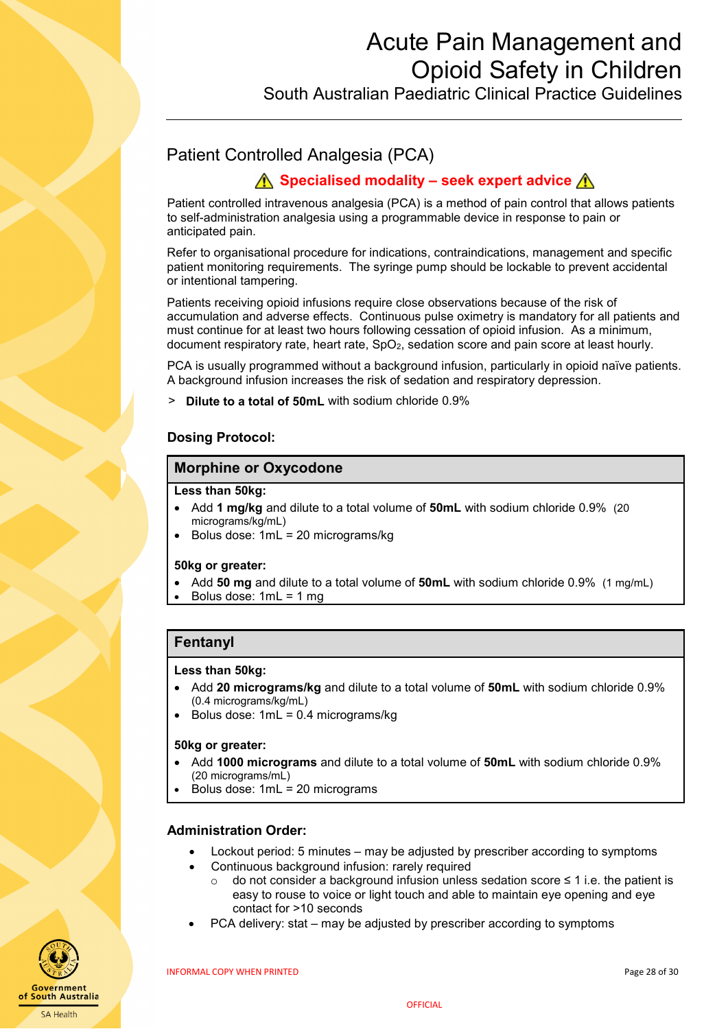South Australian Paediatric Clinical Practice Guidelines

## Patient Controlled Analgesia (PCA)

### **<u>∧</u> Specialised modality – seek expert advice ∧**

Patient controlled intravenous analgesia (PCA) is a method of pain control that allows patients to self-administration analgesia using a programmable device in response to pain or anticipated pain.

Refer to organisational procedure for indications, contraindications, management and specific patient monitoring requirements. The syringe pump should be lockable to prevent accidental or intentional tampering.

Patients receiving opioid infusions require close observations because of the risk of accumulation and adverse effects. Continuous pulse oximetry is mandatory for all patients and must continue for at least two hours following cessation of opioid infusion. As a minimum, document respiratory rate, heart rate, SpO<sub>2</sub>, sedation score and pain score at least hourly.

PCA is usually programmed without a background infusion, particularly in opioid naïve patients. A background infusion increases the risk of sedation and respiratory depression.

**Dilute to a total of 50mL** with sodium chloride 0.9%

### **Dosing Protocol:**

#### **Morphine or Oxycodone**

#### **Less than 50kg:**

- Add **1 mg/kg** and dilute to a total volume of **50mL** with sodium chloride 0.9% (20 micrograms/kg/mL)
- Bolus dose: 1mL = 20 micrograms/kg

#### **50kg or greater:**

- Add **50 mg** and dilute to a total volume of **50mL** with sodium chloride 0.9% (1 mg/mL)
- Bolus dose: 1mL = 1 mg

### **Fentanyl**

#### **Less than 50kg:**

- Add **20 micrograms/kg** and dilute to a total volume of **50mL** with sodium chloride 0.9% (0.4 micrograms/kg/mL)
- Bolus dose: 1mL = 0.4 micrograms/kg

#### **50kg or greater:**

- Add **1000 micrograms** and dilute to a total volume of **50mL** with sodium chloride 0.9% (20 micrograms/mL)
- Bolus dose: 1mL = 20 micrograms

#### **Administration Order:**

- Lockout period: 5 minutes may be adjusted by prescriber according to symptoms
- Continuous background infusion: rarely required
	- o do not consider a background infusion unless sedation score ≤ 1 i.e. the patient is easy to rouse to voice or light touch and able to maintain eye opening and eye contact for >10 seconds
- PCA delivery: stat may be adjusted by prescriber according to symptoms

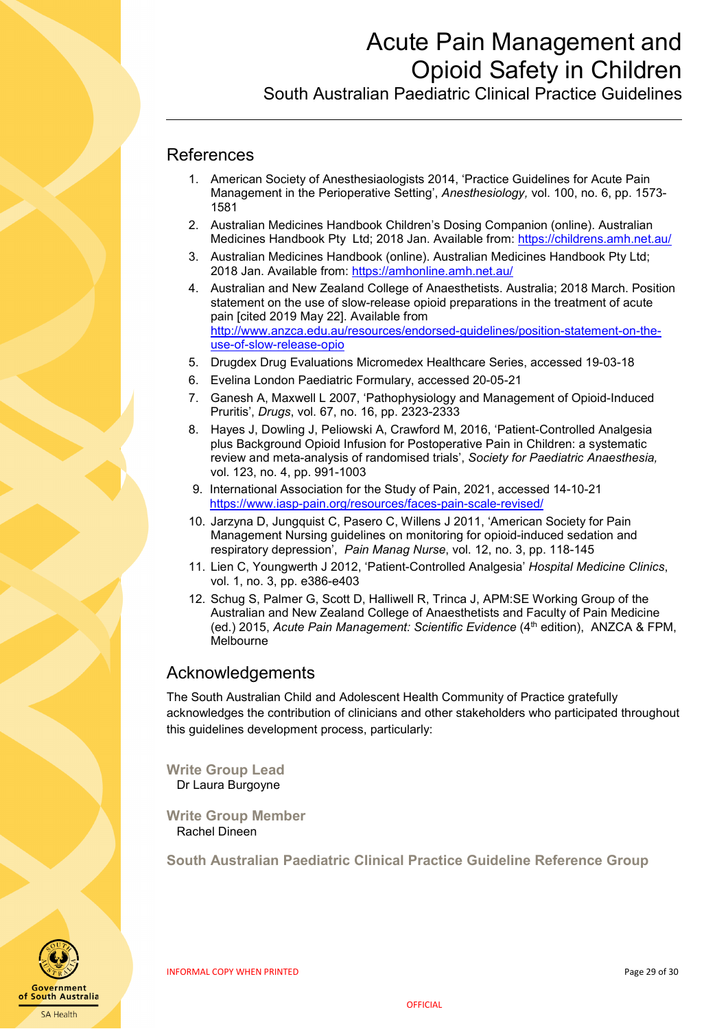South Australian Paediatric Clinical Practice Guidelines

### <span id="page-28-0"></span>**References**

- 1. American Society of Anesthesiaologists 2014, 'Practice Guidelines for Acute Pain Management in the Perioperative Setting', *Anesthesiology,* vol. 100, no. 6, pp. 1573- 1581
- 2. Australian Medicines Handbook Children's Dosing Companion (online). Australian Medicines Handbook Pty Ltd; 2018 Jan. Available from[: https://childrens.amh.net.au/](https://childrens.amh.net.au/)
- 3. Australian Medicines Handbook (online). Australian Medicines Handbook Pty Ltd; 2018 Jan. Available from:<https://amhonline.amh.net.au/>
- 4. Australian and New Zealand College of Anaesthetists. Australia; 2018 March. Position statement on the use of slow-release opioid preparations in the treatment of acute pain [cited 2019 May 22]. Available from [http://www.anzca.edu.au/resources/endorsed-guidelines/position-statement-on-the](http://www.anzca.edu.au/resources/endorsed-guidelines/position-statement-on-the-use-of-slow-release-opio)[use-of-slow-release-opio](http://www.anzca.edu.au/resources/endorsed-guidelines/position-statement-on-the-use-of-slow-release-opio)
- 5. Drugdex Drug Evaluations Micromedex Healthcare Series, accessed 19-03-18
- 6. Evelina London Paediatric Formulary, accessed 20-05-21
- 7. Ganesh A, Maxwell L 2007, 'Pathophysiology and Management of Opioid-Induced Pruritis', *Drugs*, vol. 67, no. 16, pp. 2323-2333
- 8. Hayes J, Dowling J, Peliowski A, Crawford M, 2016, 'Patient-Controlled Analgesia plus Background Opioid Infusion for Postoperative Pain in Children: a systematic review and meta-analysis of randomised trials', *Society for Paediatric Anaesthesia,*  vol. 123, no. 4, pp. 991-1003
- 9. International Association for the Study of Pain, 2021, accessed 14-10-21 <https://www.iasp-pain.org/resources/faces-pain-scale-revised/>
- 10. Jarzyna D, Jungquist C, Pasero C, Willens J 2011, 'American Society for Pain Management Nursing guidelines on monitoring for opioid-induced sedation and respiratory depression', *Pain Manag Nurse*, vol. 12, no. 3, pp. 118-145
- 11. Lien C, Youngwerth J 2012, 'Patient-Controlled Analgesia' *Hospital Medicine Clinics*, vol. 1, no. 3, pp. e386-e403
- 12. Schug S, Palmer G, Scott D, Halliwell R, Trinca J, APM:SE Working Group of the Australian and New Zealand College of Anaesthetists and Faculty of Pain Medicine (ed.) 2015, *Acute Pain Management: Scientific Evidence* (4th edition), ANZCA & FPM, Melbourne

### <span id="page-28-1"></span>Acknowledgements

The South Australian Child and Adolescent Health Community of Practice gratefully acknowledges the contribution of clinicians and other stakeholders who participated throughout this guidelines development process, particularly:

**Write Group Lead** Dr Laura Burgoyne

**Write Group Member** Rachel Dineen

**South Australian Paediatric Clinical Practice Guideline Reference Group** 



INFORMAL COPY WHEN PRINTED Page 29 of 30